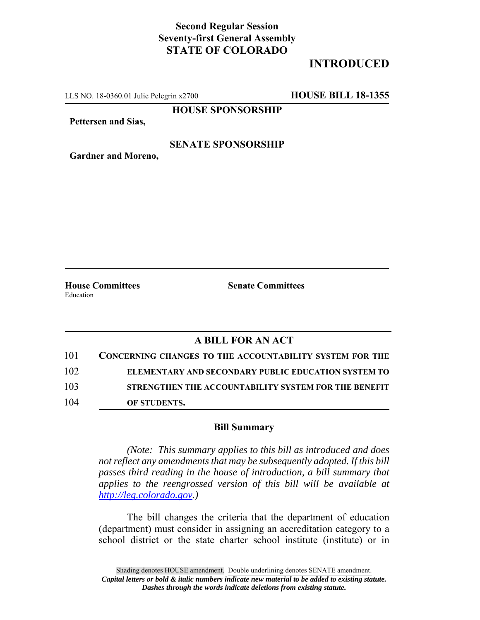### **Second Regular Session Seventy-first General Assembly STATE OF COLORADO**

## **INTRODUCED**

LLS NO. 18-0360.01 Julie Pelegrin x2700 **HOUSE BILL 18-1355**

**HOUSE SPONSORSHIP**

**Pettersen and Sias,**

#### **SENATE SPONSORSHIP**

**Gardner and Moreno,**

**House Committees Senate Committees** Education

### **A BILL FOR AN ACT**

| 101 | <b>CONCERNING CHANGES TO THE ACCOUNTABILITY SYSTEM FOR THE</b> |
|-----|----------------------------------------------------------------|
| 102 | ELEMENTARY AND SECONDARY PUBLIC EDUCATION SYSTEM TO            |
| 103 | STRENGTHEN THE ACCOUNTABILITY SYSTEM FOR THE BENEFIT           |
| 104 | OF STUDENTS.                                                   |

#### **Bill Summary**

*(Note: This summary applies to this bill as introduced and does not reflect any amendments that may be subsequently adopted. If this bill passes third reading in the house of introduction, a bill summary that applies to the reengrossed version of this bill will be available at http://leg.colorado.gov.)*

The bill changes the criteria that the department of education (department) must consider in assigning an accreditation category to a school district or the state charter school institute (institute) or in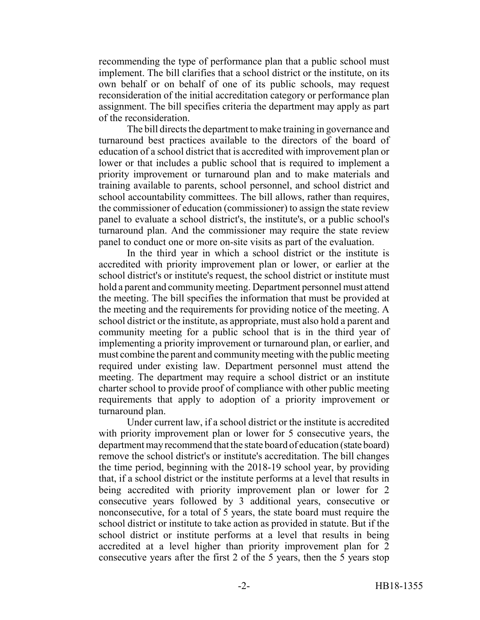recommending the type of performance plan that a public school must implement. The bill clarifies that a school district or the institute, on its own behalf or on behalf of one of its public schools, may request reconsideration of the initial accreditation category or performance plan assignment. The bill specifies criteria the department may apply as part of the reconsideration.

The bill directs the department to make training in governance and turnaround best practices available to the directors of the board of education of a school district that is accredited with improvement plan or lower or that includes a public school that is required to implement a priority improvement or turnaround plan and to make materials and training available to parents, school personnel, and school district and school accountability committees. The bill allows, rather than requires, the commissioner of education (commissioner) to assign the state review panel to evaluate a school district's, the institute's, or a public school's turnaround plan. And the commissioner may require the state review panel to conduct one or more on-site visits as part of the evaluation.

In the third year in which a school district or the institute is accredited with priority improvement plan or lower, or earlier at the school district's or institute's request, the school district or institute must hold a parent and community meeting. Department personnel must attend the meeting. The bill specifies the information that must be provided at the meeting and the requirements for providing notice of the meeting. A school district or the institute, as appropriate, must also hold a parent and community meeting for a public school that is in the third year of implementing a priority improvement or turnaround plan, or earlier, and must combine the parent and community meeting with the public meeting required under existing law. Department personnel must attend the meeting. The department may require a school district or an institute charter school to provide proof of compliance with other public meeting requirements that apply to adoption of a priority improvement or turnaround plan.

Under current law, if a school district or the institute is accredited with priority improvement plan or lower for 5 consecutive years, the department may recommend that the state board of education (state board) remove the school district's or institute's accreditation. The bill changes the time period, beginning with the 2018-19 school year, by providing that, if a school district or the institute performs at a level that results in being accredited with priority improvement plan or lower for 2 consecutive years followed by 3 additional years, consecutive or nonconsecutive, for a total of 5 years, the state board must require the school district or institute to take action as provided in statute. But if the school district or institute performs at a level that results in being accredited at a level higher than priority improvement plan for 2 consecutive years after the first 2 of the 5 years, then the 5 years stop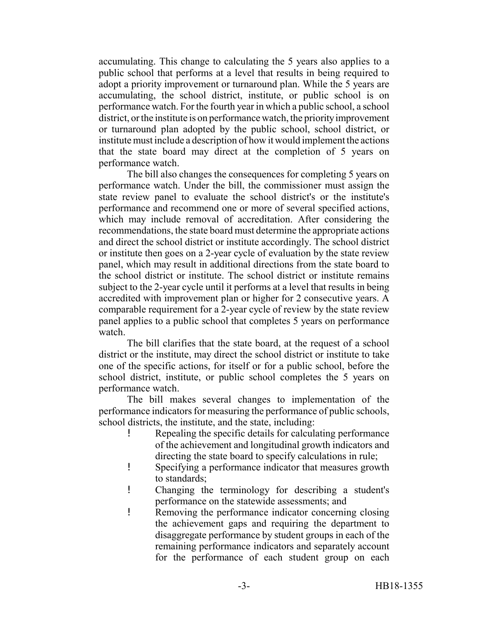accumulating. This change to calculating the 5 years also applies to a public school that performs at a level that results in being required to adopt a priority improvement or turnaround plan. While the 5 years are accumulating, the school district, institute, or public school is on performance watch. For the fourth year in which a public school, a school district, or the institute is on performance watch, the priority improvement or turnaround plan adopted by the public school, school district, or institute must include a description of how it would implement the actions that the state board may direct at the completion of 5 years on performance watch.

The bill also changes the consequences for completing 5 years on performance watch. Under the bill, the commissioner must assign the state review panel to evaluate the school district's or the institute's performance and recommend one or more of several specified actions, which may include removal of accreditation. After considering the recommendations, the state board must determine the appropriate actions and direct the school district or institute accordingly. The school district or institute then goes on a 2-year cycle of evaluation by the state review panel, which may result in additional directions from the state board to the school district or institute. The school district or institute remains subject to the 2-year cycle until it performs at a level that results in being accredited with improvement plan or higher for 2 consecutive years. A comparable requirement for a 2-year cycle of review by the state review panel applies to a public school that completes 5 years on performance watch.

The bill clarifies that the state board, at the request of a school district or the institute, may direct the school district or institute to take one of the specific actions, for itself or for a public school, before the school district, institute, or public school completes the 5 years on performance watch.

The bill makes several changes to implementation of the performance indicators for measuring the performance of public schools, school districts, the institute, and the state, including:

- Repealing the specific details for calculating performance of the achievement and longitudinal growth indicators and directing the state board to specify calculations in rule;
- ! Specifying a performance indicator that measures growth to standards;
- ! Changing the terminology for describing a student's performance on the statewide assessments; and
- ! Removing the performance indicator concerning closing the achievement gaps and requiring the department to disaggregate performance by student groups in each of the remaining performance indicators and separately account for the performance of each student group on each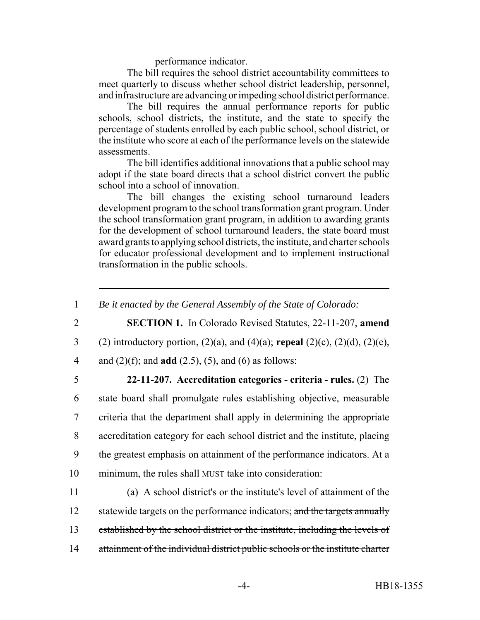performance indicator.

The bill requires the school district accountability committees to meet quarterly to discuss whether school district leadership, personnel, and infrastructure are advancing or impeding school district performance.

The bill requires the annual performance reports for public schools, school districts, the institute, and the state to specify the percentage of students enrolled by each public school, school district, or the institute who score at each of the performance levels on the statewide assessments.

The bill identifies additional innovations that a public school may adopt if the state board directs that a school district convert the public school into a school of innovation.

The bill changes the existing school turnaround leaders development program to the school transformation grant program. Under the school transformation grant program, in addition to awarding grants for the development of school turnaround leaders, the state board must award grants to applying school districts, the institute, and charter schools for educator professional development and to implement instructional transformation in the public schools.

2 **SECTION 1.** In Colorado Revised Statutes, 22-11-207, **amend** 3 (2) introductory portion, (2)(a), and (4)(a); **repeal** (2)(c), (2)(d), (2)(e), 4 and (2)(f); and **add** (2.5), (5), and (6) as follows:

 **22-11-207. Accreditation categories - criteria - rules.** (2) The state board shall promulgate rules establishing objective, measurable criteria that the department shall apply in determining the appropriate accreditation category for each school district and the institute, placing the greatest emphasis on attainment of the performance indicators. At a 10 minimum, the rules shall MUST take into consideration:

11 (a) A school district's or the institute's level of attainment of the 12 statewide targets on the performance indicators; and the targets annually 13 established by the school district or the institute, including the levels of 14 attainment of the individual district public schools or the institute charter

<sup>1</sup> *Be it enacted by the General Assembly of the State of Colorado:*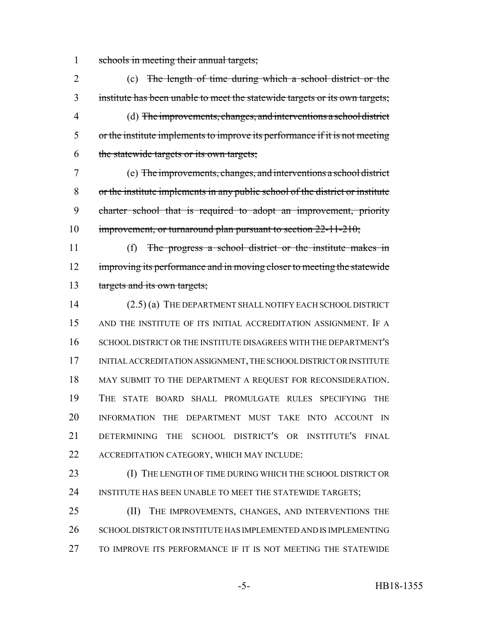1 schools in meeting their annual targets;

 (c) The length of time during which a school district or the institute has been unable to meet the statewide targets or its own targets; (d) The improvements, changes, and interventions a school district or the institute implements to improve its performance if it is not meeting the statewide targets or its own targets; (e) The improvements, changes, and interventions a school district

 or the institute implements in any public school of the district or institute charter school that is required to adopt an improvement, priority 10 improvement, or turnaround plan pursuant to section 22-11-210;

 (f) The progress a school district or the institute makes in 12 improving its performance and in moving closer to meeting the statewide 13 targets and its own targets;

 (2.5) (a) THE DEPARTMENT SHALL NOTIFY EACH SCHOOL DISTRICT AND THE INSTITUTE OF ITS INITIAL ACCREDITATION ASSIGNMENT. IF A SCHOOL DISTRICT OR THE INSTITUTE DISAGREES WITH THE DEPARTMENT'S INITIAL ACCREDITATION ASSIGNMENT, THE SCHOOL DISTRICT OR INSTITUTE 18 MAY SUBMIT TO THE DEPARTMENT A REQUEST FOR RECONSIDERATION. THE STATE BOARD SHALL PROMULGATE RULES SPECIFYING THE INFORMATION THE DEPARTMENT MUST TAKE INTO ACCOUNT IN DETERMINING THE SCHOOL DISTRICT'S OR INSTITUTE'S FINAL ACCREDITATION CATEGORY, WHICH MAY INCLUDE:

23 (I) THE LENGTH OF TIME DURING WHICH THE SCHOOL DISTRICT OR 24 INSTITUTE HAS BEEN UNABLE TO MEET THE STATEWIDE TARGETS;

25 (II) THE IMPROVEMENTS, CHANGES, AND INTERVENTIONS THE 26 SCHOOL DISTRICT OR INSTITUTE HAS IMPLEMENTED AND IS IMPLEMENTING TO IMPROVE ITS PERFORMANCE IF IT IS NOT MEETING THE STATEWIDE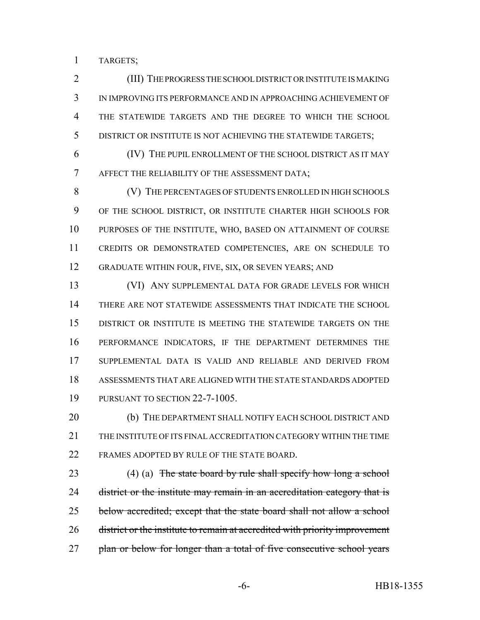TARGETS;

 (III) THE PROGRESS THE SCHOOL DISTRICT OR INSTITUTE IS MAKING IN IMPROVING ITS PERFORMANCE AND IN APPROACHING ACHIEVEMENT OF THE STATEWIDE TARGETS AND THE DEGREE TO WHICH THE SCHOOL DISTRICT OR INSTITUTE IS NOT ACHIEVING THE STATEWIDE TARGETS;

 (IV) THE PUPIL ENROLLMENT OF THE SCHOOL DISTRICT AS IT MAY AFFECT THE RELIABILITY OF THE ASSESSMENT DATA;

 (V) THE PERCENTAGES OF STUDENTS ENROLLED IN HIGH SCHOOLS OF THE SCHOOL DISTRICT, OR INSTITUTE CHARTER HIGH SCHOOLS FOR PURPOSES OF THE INSTITUTE, WHO, BASED ON ATTAINMENT OF COURSE CREDITS OR DEMONSTRATED COMPETENCIES, ARE ON SCHEDULE TO GRADUATE WITHIN FOUR, FIVE, SIX, OR SEVEN YEARS; AND

 (VI) ANY SUPPLEMENTAL DATA FOR GRADE LEVELS FOR WHICH THERE ARE NOT STATEWIDE ASSESSMENTS THAT INDICATE THE SCHOOL DISTRICT OR INSTITUTE IS MEETING THE STATEWIDE TARGETS ON THE PERFORMANCE INDICATORS, IF THE DEPARTMENT DETERMINES THE SUPPLEMENTAL DATA IS VALID AND RELIABLE AND DERIVED FROM ASSESSMENTS THAT ARE ALIGNED WITH THE STATE STANDARDS ADOPTED PURSUANT TO SECTION 22-7-1005.

20 (b) THE DEPARTMENT SHALL NOTIFY EACH SCHOOL DISTRICT AND THE INSTITUTE OF ITS FINAL ACCREDITATION CATEGORY WITHIN THE TIME FRAMES ADOPTED BY RULE OF THE STATE BOARD.

23 (4) (a) The state board by rule shall specify how long a school 24 district or the institute may remain in an accreditation category that is 25 below accredited; except that the state board shall not allow a school district or the institute to remain at accredited with priority improvement 27 plan or below for longer than a total of five consecutive school years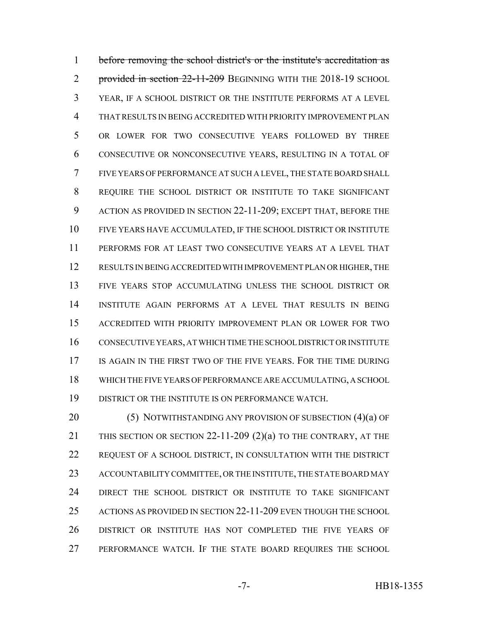before removing the school district's or the institute's accreditation as 2 provided in section -11-209 BEGINNING WITH THE 2018-19 SCHOOL YEAR, IF A SCHOOL DISTRICT OR THE INSTITUTE PERFORMS AT A LEVEL THAT RESULTS IN BEING ACCREDITED WITH PRIORITY IMPROVEMENT PLAN OR LOWER FOR TWO CONSECUTIVE YEARS FOLLOWED BY THREE CONSECUTIVE OR NONCONSECUTIVE YEARS, RESULTING IN A TOTAL OF FIVE YEARS OF PERFORMANCE AT SUCH A LEVEL, THE STATE BOARD SHALL REQUIRE THE SCHOOL DISTRICT OR INSTITUTE TO TAKE SIGNIFICANT ACTION AS PROVIDED IN SECTION 22-11-209; EXCEPT THAT, BEFORE THE FIVE YEARS HAVE ACCUMULATED, IF THE SCHOOL DISTRICT OR INSTITUTE PERFORMS FOR AT LEAST TWO CONSECUTIVE YEARS AT A LEVEL THAT RESULTS IN BEING ACCREDITED WITH IMPROVEMENT PLAN OR HIGHER, THE FIVE YEARS STOP ACCUMULATING UNLESS THE SCHOOL DISTRICT OR INSTITUTE AGAIN PERFORMS AT A LEVEL THAT RESULTS IN BEING ACCREDITED WITH PRIORITY IMPROVEMENT PLAN OR LOWER FOR TWO CONSECUTIVE YEARS, AT WHICH TIME THE SCHOOL DISTRICT OR INSTITUTE IS AGAIN IN THE FIRST TWO OF THE FIVE YEARS. FOR THE TIME DURING WHICH THE FIVE YEARS OF PERFORMANCE ARE ACCUMULATING, A SCHOOL DISTRICT OR THE INSTITUTE IS ON PERFORMANCE WATCH.

20 (5) NOTWITHSTANDING ANY PROVISION OF SUBSECTION (4)(a) OF THIS SECTION OR SECTION 22-11-209 (2)(a) TO THE CONTRARY, AT THE REQUEST OF A SCHOOL DISTRICT, IN CONSULTATION WITH THE DISTRICT ACCOUNTABILITY COMMITTEE, OR THE INSTITUTE, THE STATE BOARD MAY DIRECT THE SCHOOL DISTRICT OR INSTITUTE TO TAKE SIGNIFICANT ACTIONS AS PROVIDED IN SECTION 22-11-209 EVEN THOUGH THE SCHOOL DISTRICT OR INSTITUTE HAS NOT COMPLETED THE FIVE YEARS OF PERFORMANCE WATCH. IF THE STATE BOARD REQUIRES THE SCHOOL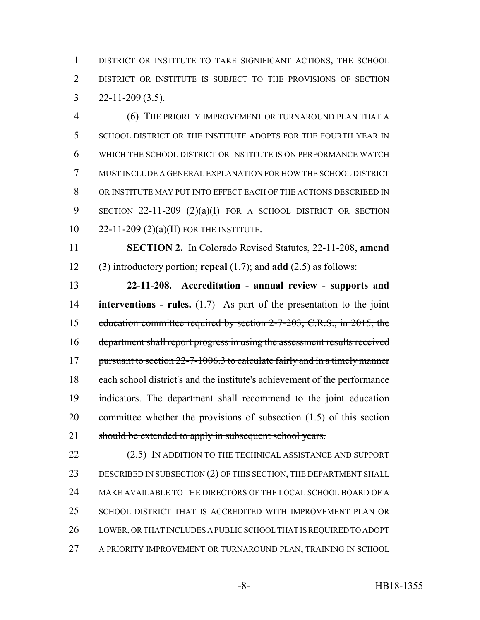DISTRICT OR INSTITUTE TO TAKE SIGNIFICANT ACTIONS, THE SCHOOL DISTRICT OR INSTITUTE IS SUBJECT TO THE PROVISIONS OF SECTION  $3 \qquad 22 - 11 - 209 \; (3.5)$ .

 (6) THE PRIORITY IMPROVEMENT OR TURNAROUND PLAN THAT A SCHOOL DISTRICT OR THE INSTITUTE ADOPTS FOR THE FOURTH YEAR IN WHICH THE SCHOOL DISTRICT OR INSTITUTE IS ON PERFORMANCE WATCH MUST INCLUDE A GENERAL EXPLANATION FOR HOW THE SCHOOL DISTRICT OR INSTITUTE MAY PUT INTO EFFECT EACH OF THE ACTIONS DESCRIBED IN SECTION 22-11-209 (2)(a)(I) FOR A SCHOOL DISTRICT OR SECTION 22-11-209 (2)(a)(II) FOR THE INSTITUTE.

 **SECTION 2.** In Colorado Revised Statutes, 22-11-208, **amend** (3) introductory portion; **repeal** (1.7); and **add** (2.5) as follows:

 **22-11-208. Accreditation - annual review - supports and interventions - rules.** (1.7) As part of the presentation to the joint education committee required by section 2-7-203, C.R.S., in 2015, the department shall report progress in using the assessment results received 17 pursuant to section 22-7-1006.3 to calculate fairly and in a timely manner each school district's and the institute's achievement of the performance indicators. The department shall recommend to the joint education committee whether the provisions of subsection (1.5) of this section 21 should be extended to apply in subsequent school years.

22 (2.5) IN ADDITION TO THE TECHNICAL ASSISTANCE AND SUPPORT 23 DESCRIBED IN SUBSECTION (2) OF THIS SECTION, THE DEPARTMENT SHALL MAKE AVAILABLE TO THE DIRECTORS OF THE LOCAL SCHOOL BOARD OF A SCHOOL DISTRICT THAT IS ACCREDITED WITH IMPROVEMENT PLAN OR LOWER, OR THAT INCLUDES A PUBLIC SCHOOL THAT IS REQUIRED TO ADOPT A PRIORITY IMPROVEMENT OR TURNAROUND PLAN, TRAINING IN SCHOOL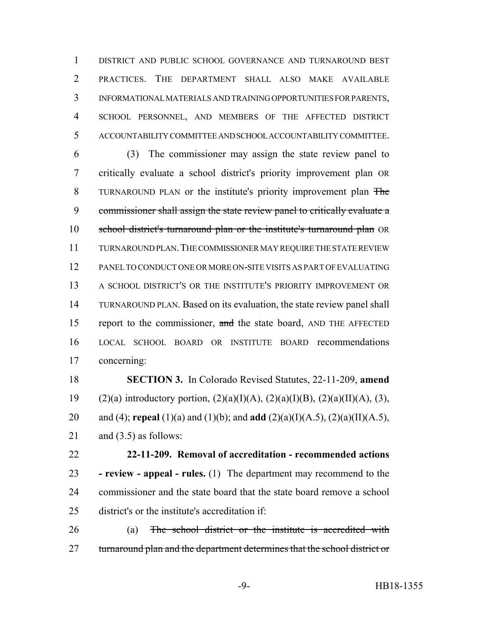DISTRICT AND PUBLIC SCHOOL GOVERNANCE AND TURNAROUND BEST PRACTICES. THE DEPARTMENT SHALL ALSO MAKE AVAILABLE INFORMATIONAL MATERIALS AND TRAINING OPPORTUNITIES FOR PARENTS, SCHOOL PERSONNEL, AND MEMBERS OF THE AFFECTED DISTRICT ACCOUNTABILITY COMMITTEE AND SCHOOL ACCOUNTABILITY COMMITTEE.

 (3) The commissioner may assign the state review panel to critically evaluate a school district's priority improvement plan OR TURNAROUND PLAN or the institute's priority improvement plan The commissioner shall assign the state review panel to critically evaluate a school district's turnaround plan or the institute's turnaround plan OR TURNAROUND PLAN.THE COMMISSIONER MAY REQUIRE THE STATE REVIEW PANEL TO CONDUCT ONE OR MORE ON-SITE VISITS AS PART OF EVALUATING A SCHOOL DISTRICT'S OR THE INSTITUTE'S PRIORITY IMPROVEMENT OR TURNAROUND PLAN. Based on its evaluation, the state review panel shall 15 report to the commissioner, and the state board, AND THE AFFECTED LOCAL SCHOOL BOARD OR INSTITUTE BOARD recommendations concerning:

 **SECTION 3.** In Colorado Revised Statutes, 22-11-209, **amend** 19 (2)(a) introductory portion,  $(2)(a)(I)(A)$ ,  $(2)(a)(I)(B)$ ,  $(2)(a)(II)(A)$ ,  $(3)$ , and (4); **repeal** (1)(a) and (1)(b); and **add** (2)(a)(I)(A.5), (2)(a)(II)(A.5), 21 and  $(3.5)$  as follows:

 **22-11-209. Removal of accreditation - recommended actions - review - appeal - rules.** (1) The department may recommend to the commissioner and the state board that the state board remove a school district's or the institute's accreditation if:

 (a) The school district or the institute is accredited with 27 turnaround plan and the department determines that the school district or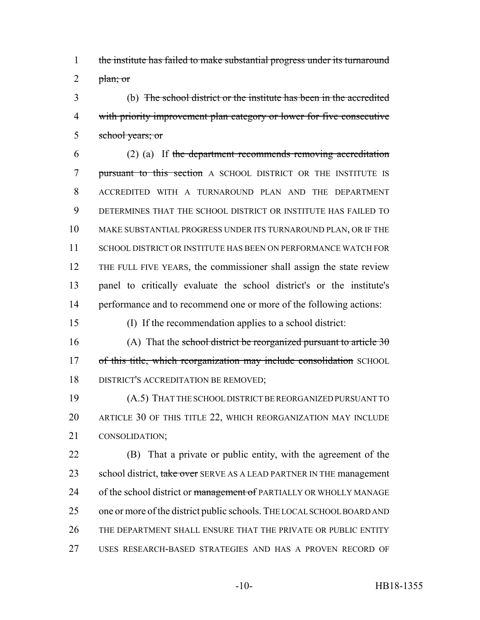the institute has failed to make substantial progress under its turnaround 2  $pham; or$ 

 (b) The school district or the institute has been in the accredited with priority improvement plan category or lower for five consecutive school years; or

 (2) (a) If the department recommends removing accreditation 7 pursuant to this section A SCHOOL DISTRICT OR THE INSTITUTE IS ACCREDITED WITH A TURNAROUND PLAN AND THE DEPARTMENT DETERMINES THAT THE SCHOOL DISTRICT OR INSTITUTE HAS FAILED TO MAKE SUBSTANTIAL PROGRESS UNDER ITS TURNAROUND PLAN, OR IF THE SCHOOL DISTRICT OR INSTITUTE HAS BEEN ON PERFORMANCE WATCH FOR THE FULL FIVE YEARS, the commissioner shall assign the state review panel to critically evaluate the school district's or the institute's performance and to recommend one or more of the following actions:

(I) If the recommendation applies to a school district:

16 (A) That the school district be reorganized pursuant to article 17 of this title, which reorganization may include consolidation SCHOOL DISTRICT'S ACCREDITATION BE REMOVED;

 (A.5) THAT THE SCHOOL DISTRICT BE REORGANIZED PURSUANT TO ARTICLE 30 OF THIS TITLE 22, WHICH REORGANIZATION MAY INCLUDE CONSOLIDATION;

 (B) That a private or public entity, with the agreement of the 23 school district, take over SERVE AS A LEAD PARTNER IN THE management 24 of the school district or management of PARTIALLY OR WHOLLY MANAGE one or more of the district public schools. THE LOCAL SCHOOL BOARD AND 26 THE DEPARTMENT SHALL ENSURE THAT THE PRIVATE OR PUBLIC ENTITY USES RESEARCH-BASED STRATEGIES AND HAS A PROVEN RECORD OF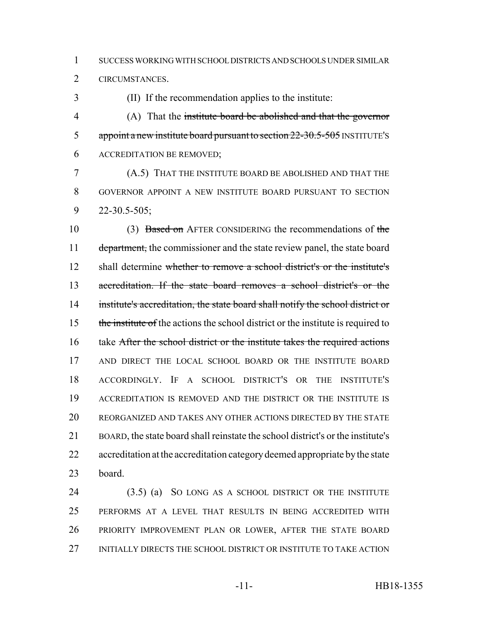SUCCESS WORKING WITH SCHOOL DISTRICTS AND SCHOOLS UNDER SIMILAR

CIRCUMSTANCES.

(II) If the recommendation applies to the institute:

 (A) That the institute board be abolished and that the governor 5 appoint a new institute board pursuant to section 22-30.5-505 INSTITUTE's ACCREDITATION BE REMOVED;

 (A.5) THAT THE INSTITUTE BOARD BE ABOLISHED AND THAT THE GOVERNOR APPOINT A NEW INSTITUTE BOARD PURSUANT TO SECTION 22-30.5-505;

10 (3) Based on AFTER CONSIDERING the recommendations of the 11 department, the commissioner and the state review panel, the state board 12 shall determine whether to remove a school district's or the institute's accreditation. If the state board removes a school district's or the institute's accreditation, the state board shall notify the school district or 15 the institute of the actions the school district or the institute is required to take After the school district or the institute takes the required actions 17 AND DIRECT THE LOCAL SCHOOL BOARD OR THE INSTITUTE BOARD ACCORDINGLY. IF A SCHOOL DISTRICT'S OR THE INSTITUTE'S ACCREDITATION IS REMOVED AND THE DISTRICT OR THE INSTITUTE IS REORGANIZED AND TAKES ANY OTHER ACTIONS DIRECTED BY THE STATE BOARD, the state board shall reinstate the school district's or the institute's accreditation at the accreditation category deemed appropriate by the state board.

 (3.5) (a) SO LONG AS A SCHOOL DISTRICT OR THE INSTITUTE PERFORMS AT A LEVEL THAT RESULTS IN BEING ACCREDITED WITH PRIORITY IMPROVEMENT PLAN OR LOWER, AFTER THE STATE BOARD INITIALLY DIRECTS THE SCHOOL DISTRICT OR INSTITUTE TO TAKE ACTION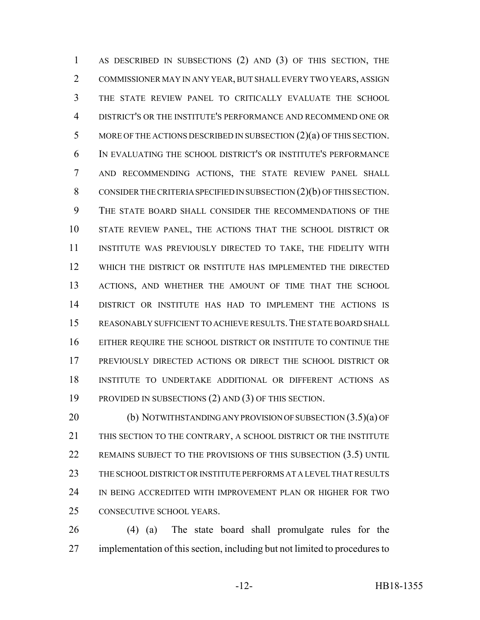1 AS DESCRIBED IN SUBSECTIONS (2) AND (3) OF THIS SECTION, THE COMMISSIONER MAY IN ANY YEAR, BUT SHALL EVERY TWO YEARS, ASSIGN THE STATE REVIEW PANEL TO CRITICALLY EVALUATE THE SCHOOL DISTRICT'S OR THE INSTITUTE'S PERFORMANCE AND RECOMMEND ONE OR MORE OF THE ACTIONS DESCRIBED IN SUBSECTION (2)(a) OF THIS SECTION. IN EVALUATING THE SCHOOL DISTRICT'S OR INSTITUTE'S PERFORMANCE AND RECOMMENDING ACTIONS, THE STATE REVIEW PANEL SHALL CONSIDER THE CRITERIA SPECIFIED IN SUBSECTION (2)(b) OF THIS SECTION. THE STATE BOARD SHALL CONSIDER THE RECOMMENDATIONS OF THE STATE REVIEW PANEL, THE ACTIONS THAT THE SCHOOL DISTRICT OR INSTITUTE WAS PREVIOUSLY DIRECTED TO TAKE, THE FIDELITY WITH WHICH THE DISTRICT OR INSTITUTE HAS IMPLEMENTED THE DIRECTED ACTIONS, AND WHETHER THE AMOUNT OF TIME THAT THE SCHOOL DISTRICT OR INSTITUTE HAS HAD TO IMPLEMENT THE ACTIONS IS REASONABLY SUFFICIENT TO ACHIEVE RESULTS.THE STATE BOARD SHALL EITHER REQUIRE THE SCHOOL DISTRICT OR INSTITUTE TO CONTINUE THE PREVIOUSLY DIRECTED ACTIONS OR DIRECT THE SCHOOL DISTRICT OR INSTITUTE TO UNDERTAKE ADDITIONAL OR DIFFERENT ACTIONS AS PROVIDED IN SUBSECTIONS (2) AND (3) OF THIS SECTION.

20 (b) NOTWITHSTANDING ANY PROVISION OF SUBSECTION  $(3.5)(a)$  OF THIS SECTION TO THE CONTRARY, A SCHOOL DISTRICT OR THE INSTITUTE 22 REMAINS SUBJECT TO THE PROVISIONS OF THIS SUBSECTION (3.5) UNTIL THE SCHOOL DISTRICT OR INSTITUTE PERFORMS AT A LEVEL THAT RESULTS IN BEING ACCREDITED WITH IMPROVEMENT PLAN OR HIGHER FOR TWO CONSECUTIVE SCHOOL YEARS.

 (4) (a) The state board shall promulgate rules for the implementation of this section, including but not limited to procedures to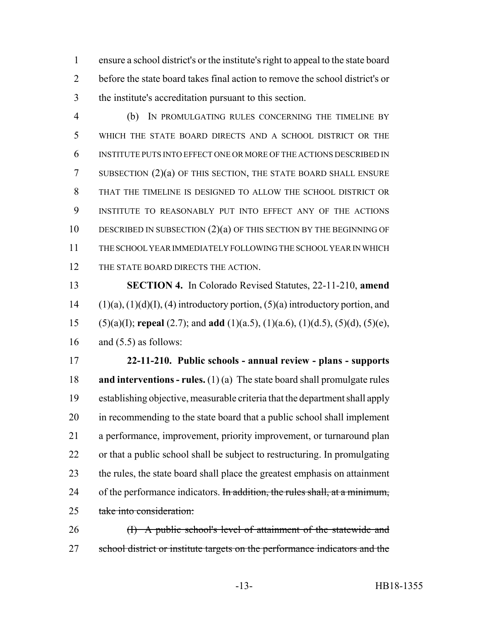ensure a school district's or the institute's right to appeal to the state board before the state board takes final action to remove the school district's or the institute's accreditation pursuant to this section.

 (b) IN PROMULGATING RULES CONCERNING THE TIMELINE BY WHICH THE STATE BOARD DIRECTS AND A SCHOOL DISTRICT OR THE INSTITUTE PUTS INTO EFFECT ONE OR MORE OF THE ACTIONS DESCRIBED IN SUBSECTION (2)(a) OF THIS SECTION, THE STATE BOARD SHALL ENSURE THAT THE TIMELINE IS DESIGNED TO ALLOW THE SCHOOL DISTRICT OR INSTITUTE TO REASONABLY PUT INTO EFFECT ANY OF THE ACTIONS 10 DESCRIBED IN SUBSECTION (2)(a) OF THIS SECTION BY THE BEGINNING OF THE SCHOOL YEAR IMMEDIATELY FOLLOWING THE SCHOOL YEAR IN WHICH 12 THE STATE BOARD DIRECTS THE ACTION.

 **SECTION 4.** In Colorado Revised Statutes, 22-11-210, **amend**  $(1)(a)$ ,  $(1)(d)(I)$ ,  $(4)$  introductory portion,  $(5)(a)$  introductory portion, and (5)(a)(I); **repeal** (2.7); and **add** (1)(a.5), (1)(a.6), (1)(d.5), (5)(d), (5)(e), 16 and  $(5.5)$  as follows:

 **22-11-210. Public schools - annual review - plans - supports and interventions - rules.** (1) (a) The state board shall promulgate rules establishing objective, measurable criteria that the department shall apply in recommending to the state board that a public school shall implement a performance, improvement, priority improvement, or turnaround plan or that a public school shall be subject to restructuring. In promulgating the rules, the state board shall place the greatest emphasis on attainment 24 of the performance indicators. In addition, the rules shall, at a minimum, take into consideration:

26 (I) A public school's level of attainment of the statewide and 27 school district or institute targets on the performance indicators and the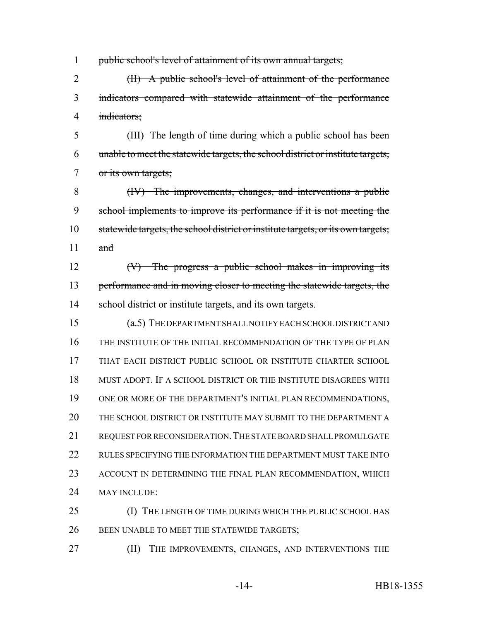public school's level of attainment of its own annual targets;

 (II) A public school's level of attainment of the performance indicators compared with statewide attainment of the performance indicators;

 (III) The length of time during which a public school has been unable to meet the statewide targets, the school district or institute targets, or its own targets;

 (IV) The improvements, changes, and interventions a public school implements to improve its performance if it is not meeting the statewide targets, the school district or institute targets, or its own targets;  $\qquad$  and

 (V) The progress a public school makes in improving its 13 performance and in moving closer to meeting the statewide targets, the 14 school district or institute targets, and its own targets.

 (a.5) THE DEPARTMENT SHALL NOTIFY EACH SCHOOL DISTRICT AND THE INSTITUTE OF THE INITIAL RECOMMENDATION OF THE TYPE OF PLAN THAT EACH DISTRICT PUBLIC SCHOOL OR INSTITUTE CHARTER SCHOOL MUST ADOPT. IF A SCHOOL DISTRICT OR THE INSTITUTE DISAGREES WITH ONE OR MORE OF THE DEPARTMENT'S INITIAL PLAN RECOMMENDATIONS, THE SCHOOL DISTRICT OR INSTITUTE MAY SUBMIT TO THE DEPARTMENT A 21 REQUEST FOR RECONSIDERATION. THE STATE BOARD SHALL PROMULGATE RULES SPECIFYING THE INFORMATION THE DEPARTMENT MUST TAKE INTO ACCOUNT IN DETERMINING THE FINAL PLAN RECOMMENDATION, WHICH 24 MAY INCLUDE:

 (I) THE LENGTH OF TIME DURING WHICH THE PUBLIC SCHOOL HAS 26 BEEN UNABLE TO MEET THE STATEWIDE TARGETS;

**(II)** THE IMPROVEMENTS, CHANGES, AND INTERVENTIONS THE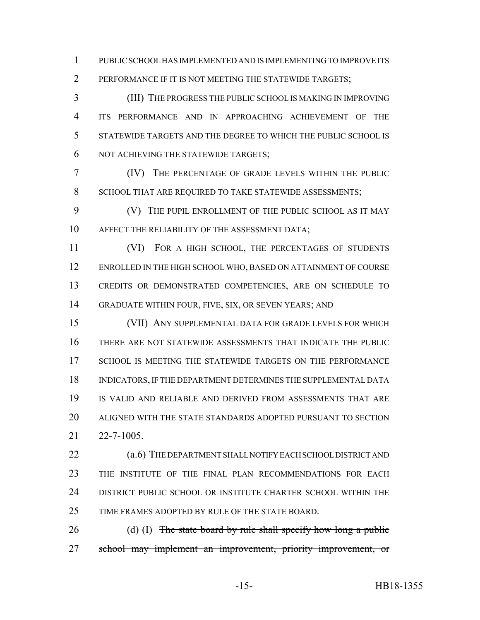PUBLIC SCHOOL HAS IMPLEMENTED AND IS IMPLEMENTING TO IMPROVE ITS PERFORMANCE IF IT IS NOT MEETING THE STATEWIDE TARGETS;

 (III) THE PROGRESS THE PUBLIC SCHOOL IS MAKING IN IMPROVING ITS PERFORMANCE AND IN APPROACHING ACHIEVEMENT OF THE STATEWIDE TARGETS AND THE DEGREE TO WHICH THE PUBLIC SCHOOL IS NOT ACHIEVING THE STATEWIDE TARGETS;

 (IV) THE PERCENTAGE OF GRADE LEVELS WITHIN THE PUBLIC 8 SCHOOL THAT ARE REQUIRED TO TAKE STATEWIDE ASSESSMENTS;

 (V) THE PUPIL ENROLLMENT OF THE PUBLIC SCHOOL AS IT MAY AFFECT THE RELIABILITY OF THE ASSESSMENT DATA;

 (VI) FOR A HIGH SCHOOL, THE PERCENTAGES OF STUDENTS ENROLLED IN THE HIGH SCHOOL WHO, BASED ON ATTAINMENT OF COURSE CREDITS OR DEMONSTRATED COMPETENCIES, ARE ON SCHEDULE TO GRADUATE WITHIN FOUR, FIVE, SIX, OR SEVEN YEARS; AND

 (VII) ANY SUPPLEMENTAL DATA FOR GRADE LEVELS FOR WHICH THERE ARE NOT STATEWIDE ASSESSMENTS THAT INDICATE THE PUBLIC 17 SCHOOL IS MEETING THE STATEWIDE TARGETS ON THE PERFORMANCE INDICATORS, IF THE DEPARTMENT DETERMINES THE SUPPLEMENTAL DATA IS VALID AND RELIABLE AND DERIVED FROM ASSESSMENTS THAT ARE ALIGNED WITH THE STATE STANDARDS ADOPTED PURSUANT TO SECTION 22-7-1005.

22 (a.6) THE DEPARTMENT SHALL NOTIFY EACH SCHOOL DISTRICT AND THE INSTITUTE OF THE FINAL PLAN RECOMMENDATIONS FOR EACH DISTRICT PUBLIC SCHOOL OR INSTITUTE CHARTER SCHOOL WITHIN THE TIME FRAMES ADOPTED BY RULE OF THE STATE BOARD.

26 (d) (I) The state board by rule shall specify how long a public school may implement an improvement, priority improvement, or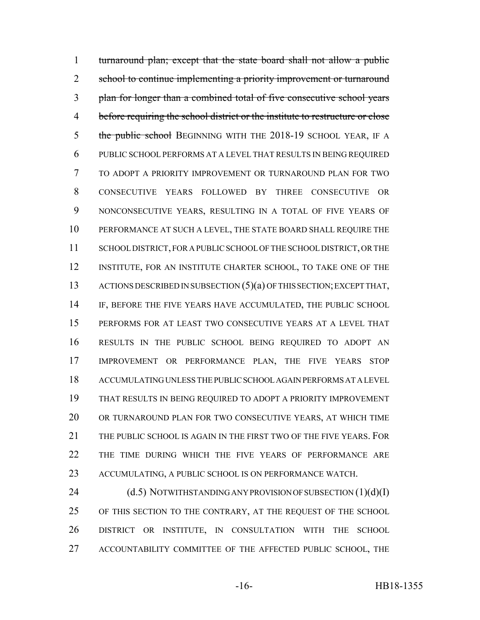turnaround plan; except that the state board shall not allow a public 2 school to continue implementing a priority improvement or turnaround plan for longer than a combined total of five consecutive school years before requiring the school district or the institute to restructure or close 5 the public school BEGINNING WITH THE 2018-19 SCHOOL YEAR, IF A PUBLIC SCHOOL PERFORMS AT A LEVEL THAT RESULTS IN BEING REQUIRED TO ADOPT A PRIORITY IMPROVEMENT OR TURNAROUND PLAN FOR TWO CONSECUTIVE YEARS FOLLOWED BY THREE CONSECUTIVE OR NONCONSECUTIVE YEARS, RESULTING IN A TOTAL OF FIVE YEARS OF PERFORMANCE AT SUCH A LEVEL, THE STATE BOARD SHALL REQUIRE THE SCHOOL DISTRICT, FOR A PUBLIC SCHOOL OF THE SCHOOL DISTRICT, OR THE INSTITUTE, FOR AN INSTITUTE CHARTER SCHOOL, TO TAKE ONE OF THE 13 ACTIONS DESCRIBED IN SUBSECTION (5)(a) OF THIS SECTION; EXCEPT THAT, IF, BEFORE THE FIVE YEARS HAVE ACCUMULATED, THE PUBLIC SCHOOL PERFORMS FOR AT LEAST TWO CONSECUTIVE YEARS AT A LEVEL THAT RESULTS IN THE PUBLIC SCHOOL BEING REQUIRED TO ADOPT AN IMPROVEMENT OR PERFORMANCE PLAN, THE FIVE YEARS STOP ACCUMULATING UNLESS THE PUBLIC SCHOOL AGAIN PERFORMS AT A LEVEL THAT RESULTS IN BEING REQUIRED TO ADOPT A PRIORITY IMPROVEMENT OR TURNAROUND PLAN FOR TWO CONSECUTIVE YEARS, AT WHICH TIME 21 THE PUBLIC SCHOOL IS AGAIN IN THE FIRST TWO OF THE FIVE YEARS. FOR THE TIME DURING WHICH THE FIVE YEARS OF PERFORMANCE ARE ACCUMULATING, A PUBLIC SCHOOL IS ON PERFORMANCE WATCH.

24 (d.5) NOTWITHSTANDING ANY PROVISION OF SUBSECTION (1)(d)(I) OF THIS SECTION TO THE CONTRARY, AT THE REQUEST OF THE SCHOOL DISTRICT OR INSTITUTE, IN CONSULTATION WITH THE SCHOOL ACCOUNTABILITY COMMITTEE OF THE AFFECTED PUBLIC SCHOOL, THE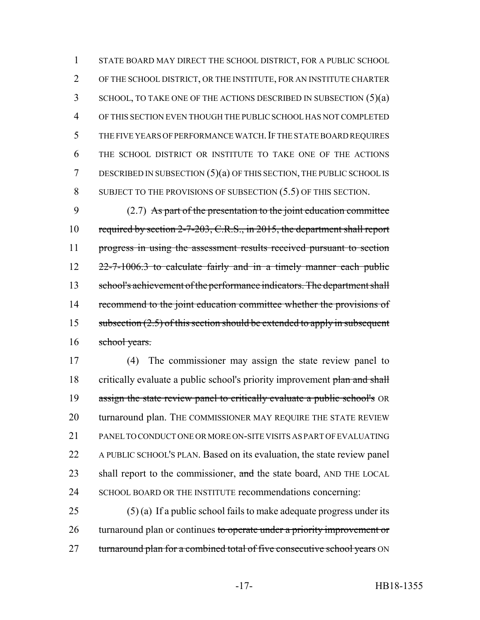STATE BOARD MAY DIRECT THE SCHOOL DISTRICT, FOR A PUBLIC SCHOOL OF THE SCHOOL DISTRICT, OR THE INSTITUTE, FOR AN INSTITUTE CHARTER 3 SCHOOL, TO TAKE ONE OF THE ACTIONS DESCRIBED IN SUBSECTION (5)(a) OF THIS SECTION EVEN THOUGH THE PUBLIC SCHOOL HAS NOT COMPLETED THE FIVE YEARS OF PERFORMANCE WATCH.IF THE STATE BOARD REQUIRES THE SCHOOL DISTRICT OR INSTITUTE TO TAKE ONE OF THE ACTIONS DESCRIBED IN SUBSECTION (5)(a) OF THIS SECTION, THE PUBLIC SCHOOL IS SUBJECT TO THE PROVISIONS OF SUBSECTION (5.5) OF THIS SECTION.

9 (2.7) As part of the presentation to the joint education committee 10 required by section 2-7-203, C.R.S., in 2015, the department shall report 11 progress in using the assessment results received pursuant to section 12 22-7-1006.3 to calculate fairly and in a timely manner each public 13 school's achievement of the performance indicators. The department shall 14 recommend to the joint education committee whether the provisions of 15 subsection  $(2.5)$  of this section should be extended to apply in subsequent 16 school years.

17 (4) The commissioner may assign the state review panel to 18 critically evaluate a public school's priority improvement plan and shall 19 assign the state review panel to critically evaluate a public school's OR 20 turnaround plan. THE COMMISSIONER MAY REQUIRE THE STATE REVIEW 21 PANEL TO CONDUCT ONE OR MORE ON-SITE VISITS AS PART OF EVALUATING 22 A PUBLIC SCHOOL'S PLAN. Based on its evaluation, the state review panel 23 shall report to the commissioner, and the state board, AND THE LOCAL 24 SCHOOL BOARD OR THE INSTITUTE recommendations concerning:

 $25$  (5) (a) If a public school fails to make adequate progress under its 26 turnaround plan or continues to operate under a priority improvement or 27 turnaround plan for a combined total of five consecutive school years ON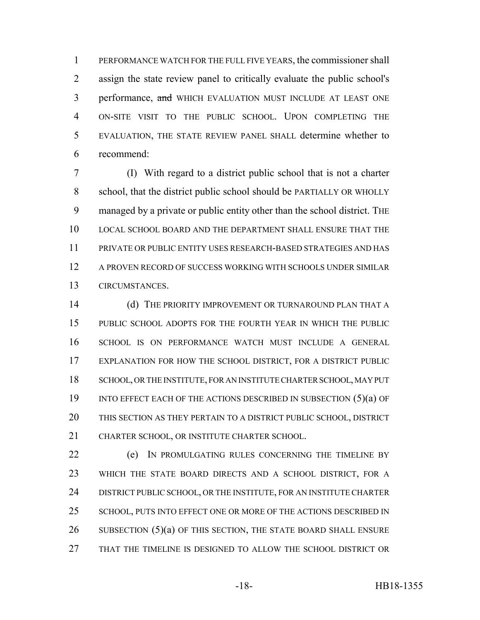PERFORMANCE WATCH FOR THE FULL FIVE YEARS, the commissioner shall assign the state review panel to critically evaluate the public school's 3 performance, and WHICH EVALUATION MUST INCLUDE AT LEAST ONE ON-SITE VISIT TO THE PUBLIC SCHOOL. UPON COMPLETING THE EVALUATION, THE STATE REVIEW PANEL SHALL determine whether to recommend:

 (I) With regard to a district public school that is not a charter school, that the district public school should be PARTIALLY OR WHOLLY managed by a private or public entity other than the school district. THE LOCAL SCHOOL BOARD AND THE DEPARTMENT SHALL ENSURE THAT THE PRIVATE OR PUBLIC ENTITY USES RESEARCH-BASED STRATEGIES AND HAS A PROVEN RECORD OF SUCCESS WORKING WITH SCHOOLS UNDER SIMILAR CIRCUMSTANCES.

14 (d) THE PRIORITY IMPROVEMENT OR TURNAROUND PLAN THAT A PUBLIC SCHOOL ADOPTS FOR THE FOURTH YEAR IN WHICH THE PUBLIC SCHOOL IS ON PERFORMANCE WATCH MUST INCLUDE A GENERAL EXPLANATION FOR HOW THE SCHOOL DISTRICT, FOR A DISTRICT PUBLIC SCHOOL, OR THE INSTITUTE, FOR AN INSTITUTE CHARTER SCHOOL, MAY PUT 19 INTO EFFECT EACH OF THE ACTIONS DESCRIBED IN SUBSECTION (5)(a) OF THIS SECTION AS THEY PERTAIN TO A DISTRICT PUBLIC SCHOOL, DISTRICT CHARTER SCHOOL, OR INSTITUTE CHARTER SCHOOL.

 (e) IN PROMULGATING RULES CONCERNING THE TIMELINE BY WHICH THE STATE BOARD DIRECTS AND A SCHOOL DISTRICT, FOR A 24 DISTRICT PUBLIC SCHOOL, OR THE INSTITUTE, FOR AN INSTITUTE CHARTER 25 SCHOOL, PUTS INTO EFFECT ONE OR MORE OF THE ACTIONS DESCRIBED IN SUBSECTION (5)(a) OF THIS SECTION, THE STATE BOARD SHALL ENSURE THAT THE TIMELINE IS DESIGNED TO ALLOW THE SCHOOL DISTRICT OR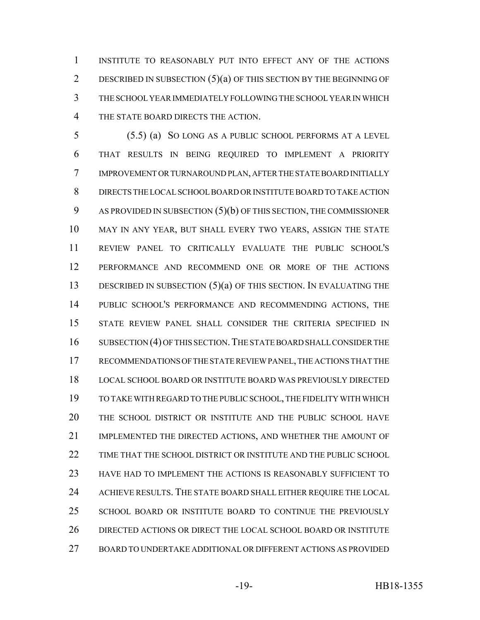INSTITUTE TO REASONABLY PUT INTO EFFECT ANY OF THE ACTIONS DESCRIBED IN SUBSECTION (5)(a) OF THIS SECTION BY THE BEGINNING OF THE SCHOOL YEAR IMMEDIATELY FOLLOWING THE SCHOOL YEAR IN WHICH THE STATE BOARD DIRECTS THE ACTION.

 (5.5) (a) SO LONG AS A PUBLIC SCHOOL PERFORMS AT A LEVEL THAT RESULTS IN BEING REQUIRED TO IMPLEMENT A PRIORITY IMPROVEMENT OR TURNAROUND PLAN, AFTER THE STATE BOARD INITIALLY DIRECTS THE LOCAL SCHOOL BOARD OR INSTITUTE BOARD TO TAKE ACTION AS PROVIDED IN SUBSECTION (5)(b) OF THIS SECTION, THE COMMISSIONER MAY IN ANY YEAR, BUT SHALL EVERY TWO YEARS, ASSIGN THE STATE REVIEW PANEL TO CRITICALLY EVALUATE THE PUBLIC SCHOOL'S PERFORMANCE AND RECOMMEND ONE OR MORE OF THE ACTIONS 13 DESCRIBED IN SUBSECTION (5)(a) OF THIS SECTION. IN EVALUATING THE PUBLIC SCHOOL'S PERFORMANCE AND RECOMMENDING ACTIONS, THE STATE REVIEW PANEL SHALL CONSIDER THE CRITERIA SPECIFIED IN 16 SUBSECTION (4) OF THIS SECTION. THE STATE BOARD SHALL CONSIDER THE RECOMMENDATIONS OF THE STATE REVIEW PANEL, THE ACTIONS THAT THE LOCAL SCHOOL BOARD OR INSTITUTE BOARD WAS PREVIOUSLY DIRECTED TO TAKE WITH REGARD TO THE PUBLIC SCHOOL, THE FIDELITY WITH WHICH THE SCHOOL DISTRICT OR INSTITUTE AND THE PUBLIC SCHOOL HAVE IMPLEMENTED THE DIRECTED ACTIONS, AND WHETHER THE AMOUNT OF TIME THAT THE SCHOOL DISTRICT OR INSTITUTE AND THE PUBLIC SCHOOL HAVE HAD TO IMPLEMENT THE ACTIONS IS REASONABLY SUFFICIENT TO 24 ACHIEVE RESULTS. THE STATE BOARD SHALL EITHER REQUIRE THE LOCAL SCHOOL BOARD OR INSTITUTE BOARD TO CONTINUE THE PREVIOUSLY DIRECTED ACTIONS OR DIRECT THE LOCAL SCHOOL BOARD OR INSTITUTE BOARD TO UNDERTAKE ADDITIONAL OR DIFFERENT ACTIONS AS PROVIDED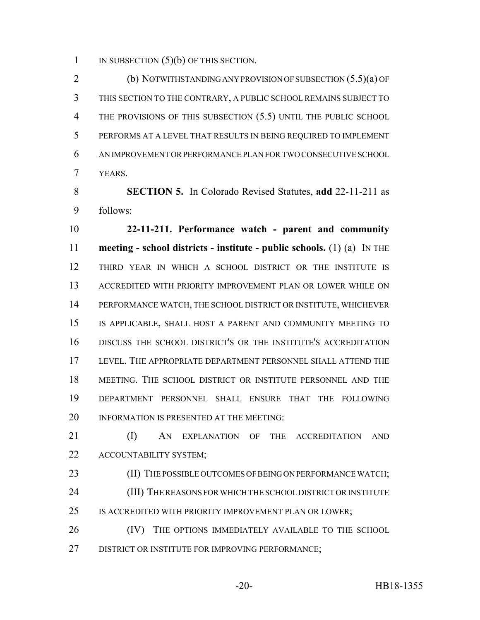1 IN SUBSECTION  $(5)(b)$  OF THIS SECTION.

 (b) NOTWITHSTANDING ANY PROVISION OF SUBSECTION (5.5)(a) OF THIS SECTION TO THE CONTRARY, A PUBLIC SCHOOL REMAINS SUBJECT TO THE PROVISIONS OF THIS SUBSECTION (5.5) UNTIL THE PUBLIC SCHOOL PERFORMS AT A LEVEL THAT RESULTS IN BEING REQUIRED TO IMPLEMENT AN IMPROVEMENT OR PERFORMANCE PLAN FOR TWO CONSECUTIVE SCHOOL YEARS.

 **SECTION 5.** In Colorado Revised Statutes, **add** 22-11-211 as follows:

 **22-11-211. Performance watch - parent and community meeting - school districts - institute - public schools.** (1) (a) IN THE THIRD YEAR IN WHICH A SCHOOL DISTRICT OR THE INSTITUTE IS ACCREDITED WITH PRIORITY IMPROVEMENT PLAN OR LOWER WHILE ON PERFORMANCE WATCH, THE SCHOOL DISTRICT OR INSTITUTE, WHICHEVER IS APPLICABLE, SHALL HOST A PARENT AND COMMUNITY MEETING TO DISCUSS THE SCHOOL DISTRICT'S OR THE INSTITUTE'S ACCREDITATION LEVEL. THE APPROPRIATE DEPARTMENT PERSONNEL SHALL ATTEND THE MEETING. THE SCHOOL DISTRICT OR INSTITUTE PERSONNEL AND THE DEPARTMENT PERSONNEL SHALL ENSURE THAT THE FOLLOWING 20 INFORMATION IS PRESENTED AT THE MEETING:

 (I) AN EXPLANATION OF THE ACCREDITATION AND ACCOUNTABILITY SYSTEM;

23 (II) THE POSSIBLE OUTCOMES OF BEING ON PERFORMANCE WATCH; 24 (III) THE REASONS FOR WHICH THE SCHOOL DISTRICT OR INSTITUTE IS ACCREDITED WITH PRIORITY IMPROVEMENT PLAN OR LOWER;

26 (IV) THE OPTIONS IMMEDIATELY AVAILABLE TO THE SCHOOL DISTRICT OR INSTITUTE FOR IMPROVING PERFORMANCE;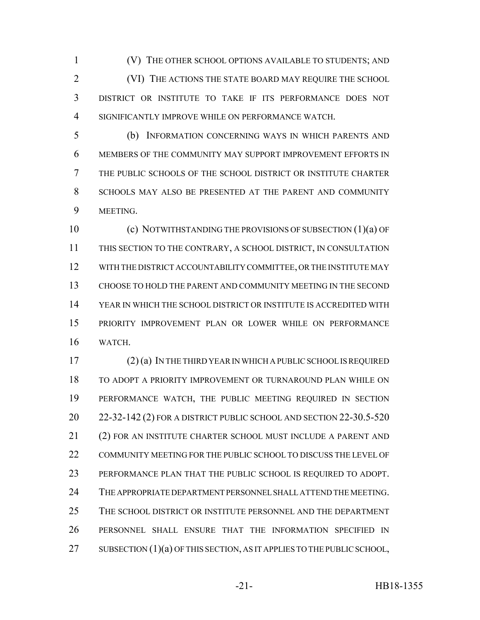(V) THE OTHER SCHOOL OPTIONS AVAILABLE TO STUDENTS; AND (VI) THE ACTIONS THE STATE BOARD MAY REQUIRE THE SCHOOL DISTRICT OR INSTITUTE TO TAKE IF ITS PERFORMANCE DOES NOT SIGNIFICANTLY IMPROVE WHILE ON PERFORMANCE WATCH.

 (b) INFORMATION CONCERNING WAYS IN WHICH PARENTS AND MEMBERS OF THE COMMUNITY MAY SUPPORT IMPROVEMENT EFFORTS IN THE PUBLIC SCHOOLS OF THE SCHOOL DISTRICT OR INSTITUTE CHARTER SCHOOLS MAY ALSO BE PRESENTED AT THE PARENT AND COMMUNITY MEETING.

 (c) NOTWITHSTANDING THE PROVISIONS OF SUBSECTION (1)(a) OF THIS SECTION TO THE CONTRARY, A SCHOOL DISTRICT, IN CONSULTATION WITH THE DISTRICT ACCOUNTABILITY COMMITTEE, OR THE INSTITUTE MAY CHOOSE TO HOLD THE PARENT AND COMMUNITY MEETING IN THE SECOND YEAR IN WHICH THE SCHOOL DISTRICT OR INSTITUTE IS ACCREDITED WITH PRIORITY IMPROVEMENT PLAN OR LOWER WHILE ON PERFORMANCE WATCH.

 (2) (a) IN THE THIRD YEAR IN WHICH A PUBLIC SCHOOL IS REQUIRED TO ADOPT A PRIORITY IMPROVEMENT OR TURNAROUND PLAN WHILE ON PERFORMANCE WATCH, THE PUBLIC MEETING REQUIRED IN SECTION 22-32-142 (2) FOR A DISTRICT PUBLIC SCHOOL AND SECTION 22-30.5-520 (2) FOR AN INSTITUTE CHARTER SCHOOL MUST INCLUDE A PARENT AND COMMUNITY MEETING FOR THE PUBLIC SCHOOL TO DISCUSS THE LEVEL OF PERFORMANCE PLAN THAT THE PUBLIC SCHOOL IS REQUIRED TO ADOPT. THE APPROPRIATE DEPARTMENT PERSONNEL SHALL ATTEND THE MEETING. THE SCHOOL DISTRICT OR INSTITUTE PERSONNEL AND THE DEPARTMENT PERSONNEL SHALL ENSURE THAT THE INFORMATION SPECIFIED IN 27 SUBSECTION (1)(a) OF THIS SECTION, AS IT APPLIES TO THE PUBLIC SCHOOL,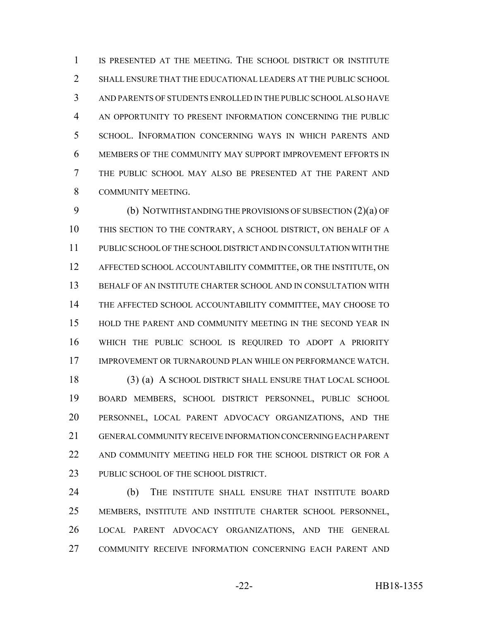IS PRESENTED AT THE MEETING. THE SCHOOL DISTRICT OR INSTITUTE SHALL ENSURE THAT THE EDUCATIONAL LEADERS AT THE PUBLIC SCHOOL AND PARENTS OF STUDENTS ENROLLED IN THE PUBLIC SCHOOL ALSO HAVE AN OPPORTUNITY TO PRESENT INFORMATION CONCERNING THE PUBLIC SCHOOL. INFORMATION CONCERNING WAYS IN WHICH PARENTS AND MEMBERS OF THE COMMUNITY MAY SUPPORT IMPROVEMENT EFFORTS IN THE PUBLIC SCHOOL MAY ALSO BE PRESENTED AT THE PARENT AND COMMUNITY MEETING.

 (b) NOTWITHSTANDING THE PROVISIONS OF SUBSECTION (2)(a) OF THIS SECTION TO THE CONTRARY, A SCHOOL DISTRICT, ON BEHALF OF A PUBLIC SCHOOL OF THE SCHOOL DISTRICT AND IN CONSULTATION WITH THE AFFECTED SCHOOL ACCOUNTABILITY COMMITTEE, OR THE INSTITUTE, ON BEHALF OF AN INSTITUTE CHARTER SCHOOL AND IN CONSULTATION WITH THE AFFECTED SCHOOL ACCOUNTABILITY COMMITTEE, MAY CHOOSE TO HOLD THE PARENT AND COMMUNITY MEETING IN THE SECOND YEAR IN WHICH THE PUBLIC SCHOOL IS REQUIRED TO ADOPT A PRIORITY IMPROVEMENT OR TURNAROUND PLAN WHILE ON PERFORMANCE WATCH.

 (3) (a) A SCHOOL DISTRICT SHALL ENSURE THAT LOCAL SCHOOL BOARD MEMBERS, SCHOOL DISTRICT PERSONNEL, PUBLIC SCHOOL PERSONNEL, LOCAL PARENT ADVOCACY ORGANIZATIONS, AND THE GENERAL COMMUNITY RECEIVE INFORMATION CONCERNING EACH PARENT 22 AND COMMUNITY MEETING HELD FOR THE SCHOOL DISTRICT OR FOR A 23 PUBLIC SCHOOL OF THE SCHOOL DISTRICT.

 (b) THE INSTITUTE SHALL ENSURE THAT INSTITUTE BOARD MEMBERS, INSTITUTE AND INSTITUTE CHARTER SCHOOL PERSONNEL, LOCAL PARENT ADVOCACY ORGANIZATIONS, AND THE GENERAL COMMUNITY RECEIVE INFORMATION CONCERNING EACH PARENT AND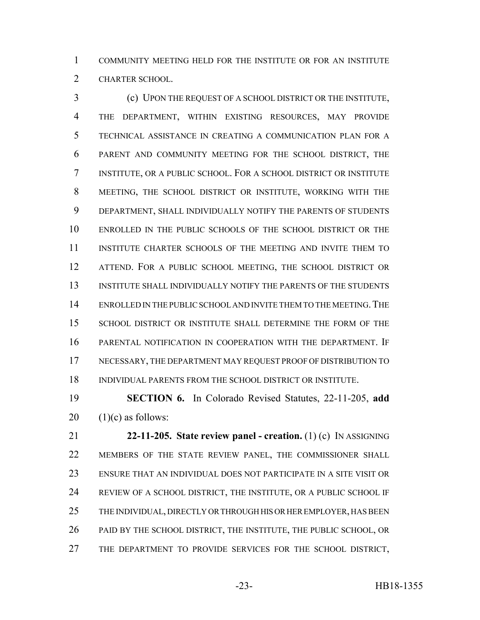COMMUNITY MEETING HELD FOR THE INSTITUTE OR FOR AN INSTITUTE CHARTER SCHOOL.

 (c) UPON THE REQUEST OF A SCHOOL DISTRICT OR THE INSTITUTE, THE DEPARTMENT, WITHIN EXISTING RESOURCES, MAY PROVIDE TECHNICAL ASSISTANCE IN CREATING A COMMUNICATION PLAN FOR A PARENT AND COMMUNITY MEETING FOR THE SCHOOL DISTRICT, THE INSTITUTE, OR A PUBLIC SCHOOL. FOR A SCHOOL DISTRICT OR INSTITUTE MEETING, THE SCHOOL DISTRICT OR INSTITUTE, WORKING WITH THE DEPARTMENT, SHALL INDIVIDUALLY NOTIFY THE PARENTS OF STUDENTS ENROLLED IN THE PUBLIC SCHOOLS OF THE SCHOOL DISTRICT OR THE INSTITUTE CHARTER SCHOOLS OF THE MEETING AND INVITE THEM TO ATTEND. FOR A PUBLIC SCHOOL MEETING, THE SCHOOL DISTRICT OR INSTITUTE SHALL INDIVIDUALLY NOTIFY THE PARENTS OF THE STUDENTS ENROLLED IN THE PUBLIC SCHOOL AND INVITE THEM TO THE MEETING.THE SCHOOL DISTRICT OR INSTITUTE SHALL DETERMINE THE FORM OF THE PARENTAL NOTIFICATION IN COOPERATION WITH THE DEPARTMENT. IF NECESSARY, THE DEPARTMENT MAY REQUEST PROOF OF DISTRIBUTION TO INDIVIDUAL PARENTS FROM THE SCHOOL DISTRICT OR INSTITUTE.

 **SECTION 6.** In Colorado Revised Statutes, 22-11-205, **add** 20  $(1)(c)$  as follows:

 **22-11-205. State review panel - creation.** (1) (c) IN ASSIGNING MEMBERS OF THE STATE REVIEW PANEL, THE COMMISSIONER SHALL ENSURE THAT AN INDIVIDUAL DOES NOT PARTICIPATE IN A SITE VISIT OR REVIEW OF A SCHOOL DISTRICT, THE INSTITUTE, OR A PUBLIC SCHOOL IF 25 THE INDIVIDUAL, DIRECTLY OR THROUGH HIS OR HER EMPLOYER, HAS BEEN PAID BY THE SCHOOL DISTRICT, THE INSTITUTE, THE PUBLIC SCHOOL, OR THE DEPARTMENT TO PROVIDE SERVICES FOR THE SCHOOL DISTRICT,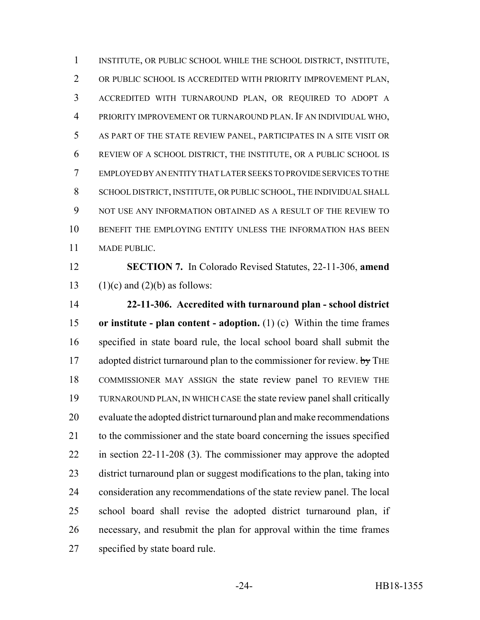INSTITUTE, OR PUBLIC SCHOOL WHILE THE SCHOOL DISTRICT, INSTITUTE, OR PUBLIC SCHOOL IS ACCREDITED WITH PRIORITY IMPROVEMENT PLAN, ACCREDITED WITH TURNAROUND PLAN, OR REQUIRED TO ADOPT A PRIORITY IMPROVEMENT OR TURNAROUND PLAN. IF AN INDIVIDUAL WHO, AS PART OF THE STATE REVIEW PANEL, PARTICIPATES IN A SITE VISIT OR REVIEW OF A SCHOOL DISTRICT, THE INSTITUTE, OR A PUBLIC SCHOOL IS EMPLOYED BY AN ENTITY THAT LATER SEEKS TO PROVIDE SERVICES TO THE SCHOOL DISTRICT, INSTITUTE, OR PUBLIC SCHOOL, THE INDIVIDUAL SHALL NOT USE ANY INFORMATION OBTAINED AS A RESULT OF THE REVIEW TO BENEFIT THE EMPLOYING ENTITY UNLESS THE INFORMATION HAS BEEN MADE PUBLIC.

 **SECTION 7.** In Colorado Revised Statutes, 22-11-306, **amend** 13 (1)(c) and (2)(b) as follows:

 **22-11-306. Accredited with turnaround plan - school district or institute - plan content - adoption.** (1) (c) Within the time frames specified in state board rule, the local school board shall submit the 17 adopted district turnaround plan to the commissioner for review. by THE COMMISSIONER MAY ASSIGN the state review panel TO REVIEW THE TURNAROUND PLAN, IN WHICH CASE the state review panel shall critically evaluate the adopted district turnaround plan and make recommendations to the commissioner and the state board concerning the issues specified in section 22-11-208 (3). The commissioner may approve the adopted district turnaround plan or suggest modifications to the plan, taking into consideration any recommendations of the state review panel. The local school board shall revise the adopted district turnaround plan, if necessary, and resubmit the plan for approval within the time frames specified by state board rule.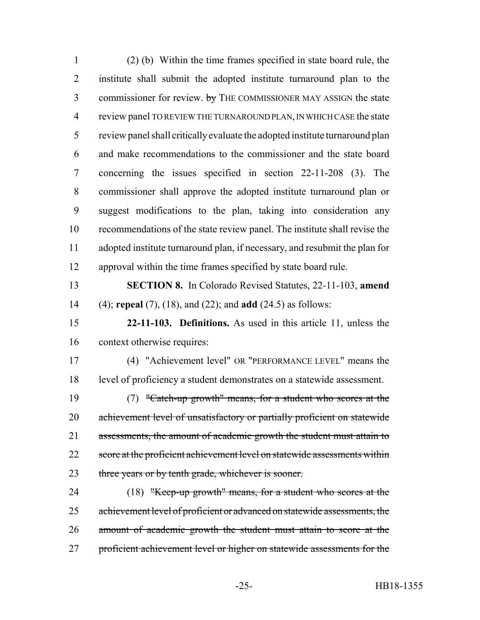(2) (b) Within the time frames specified in state board rule, the institute shall submit the adopted institute turnaround plan to the 3 commissioner for review. by THE COMMISSIONER MAY ASSIGN the state review panel TO REVIEW THE TURNAROUND PLAN, IN WHICH CASE the state review panel shall critically evaluate the adopted institute turnaround plan and make recommendations to the commissioner and the state board concerning the issues specified in section 22-11-208 (3). The commissioner shall approve the adopted institute turnaround plan or suggest modifications to the plan, taking into consideration any recommendations of the state review panel. The institute shall revise the adopted institute turnaround plan, if necessary, and resubmit the plan for approval within the time frames specified by state board rule. **SECTION 8.** In Colorado Revised Statutes, 22-11-103, **amend** (4); **repeal** (7), (18), and (22); and **add** (24.5) as follows: **22-11-103. Definitions.** As used in this article 11, unless the context otherwise requires: (4) "Achievement level" OR "PERFORMANCE LEVEL" means the level of proficiency a student demonstrates on a statewide assessment. (7) "Catch-up growth" means, for a student who scores at the 20 achievement level of unsatisfactory or partially proficient on statewide 21 assessments, the amount of academic growth the student must attain to 22 score at the proficient achievement level on statewide assessments within 23 three years or by tenth grade, whichever is sooner. (18) "Keep-up growth" means, for a student who scores at the achievement level of proficient or advanced on statewide assessments, the amount of academic growth the student must attain to score at the 27 proficient achievement level or higher on statewide assessments for the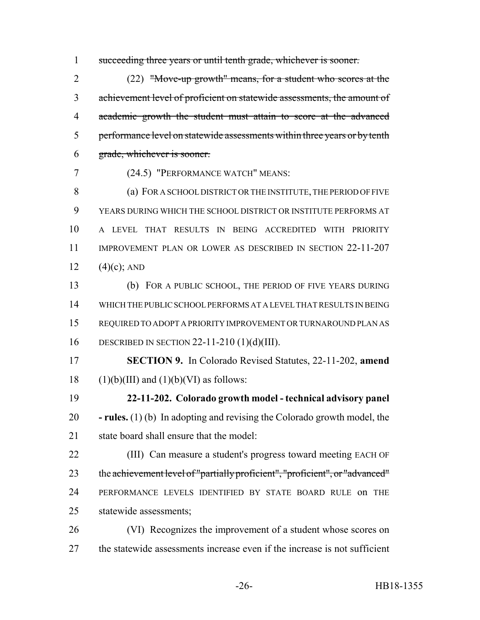succeeding three years or until tenth grade, whichever is sooner.

 (22) "Move-up growth" means, for a student who scores at the achievement level of proficient on statewide assessments, the amount of academic growth the student must attain to score at the advanced 5 performance level on statewide assessments within three years or by tenth grade, whichever is sooner.

(24.5) "PERFORMANCE WATCH" MEANS:

8 (a) FOR A SCHOOL DISTRICT OR THE INSTITUTE, THE PERIOD OF FIVE YEARS DURING WHICH THE SCHOOL DISTRICT OR INSTITUTE PERFORMS AT A LEVEL THAT RESULTS IN BEING ACCREDITED WITH PRIORITY IMPROVEMENT PLAN OR LOWER AS DESCRIBED IN SECTION 22-11-207  $(4)(c)$ ; AND

 (b) FOR A PUBLIC SCHOOL, THE PERIOD OF FIVE YEARS DURING WHICH THE PUBLIC SCHOOL PERFORMS AT A LEVEL THAT RESULTS IN BEING REQUIRED TO ADOPT A PRIORITY IMPROVEMENT OR TURNAROUND PLAN AS DESCRIBED IN SECTION 22-11-210 (1)(d)(III).

 **SECTION 9.** In Colorado Revised Statutes, 22-11-202, **amend** 18 (1)(b)(III) and (1)(b)(VI) as follows:

 **22-11-202. Colorado growth model - technical advisory panel - rules.** (1) (b) In adopting and revising the Colorado growth model, the state board shall ensure that the model:

 (III) Can measure a student's progress toward meeting EACH OF the achievement level of "partially proficient", "proficient", or "advanced" PERFORMANCE LEVELS IDENTIFIED BY STATE BOARD RULE on THE statewide assessments;

 (VI) Recognizes the improvement of a student whose scores on the statewide assessments increase even if the increase is not sufficient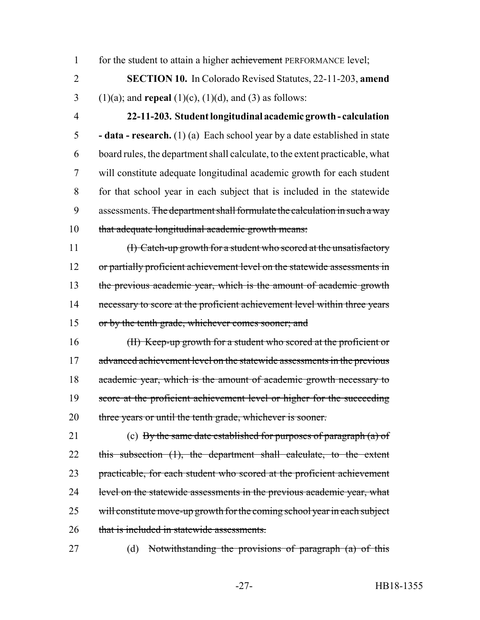1 for the student to attain a higher achievement PERFORMANCE level;

2 **SECTION 10.** In Colorado Revised Statutes, 22-11-203, **amend** 3 (1)(a); and **repeal** (1)(c), (1)(d), and (3) as follows:

 **22-11-203. Student longitudinal academic growth - calculation - data - research.** (1) (a) Each school year by a date established in state board rules, the department shall calculate, to the extent practicable, what will constitute adequate longitudinal academic growth for each student for that school year in each subject that is included in the statewide 9 assessments. The department shall formulate the calculation in such a way that adequate longitudinal academic growth means:

11 (I) Catch-up growth for a student who scored at the unsatisfactory 12 or partially proficient achievement level on the statewide assessments in 13 the previous academic year, which is the amount of academic growth 14 necessary to score at the proficient achievement level within three years 15 or by the tenth grade, whichever comes sooner; and

16 (II) Keep-up growth for a student who scored at the proficient or 17 advanced achievement level on the statewide assessments in the previous 18 academic year, which is the amount of academic growth necessary to 19 score at the proficient achievement level or higher for the succeeding 20 three years or until the tenth grade, whichever is sooner.

21 (c) By the same date established for purposes of paragraph  $(a)$  of 22 this subsection (1), the department shall calculate, to the extent 23 practicable, for each student who scored at the proficient achievement 24 level on the statewide assessments in the previous academic year, what 25 will constitute move-up growth for the coming school year in each subject 26 that is included in statewide assessments.

27 (d) Notwithstanding the provisions of paragraph (a) of this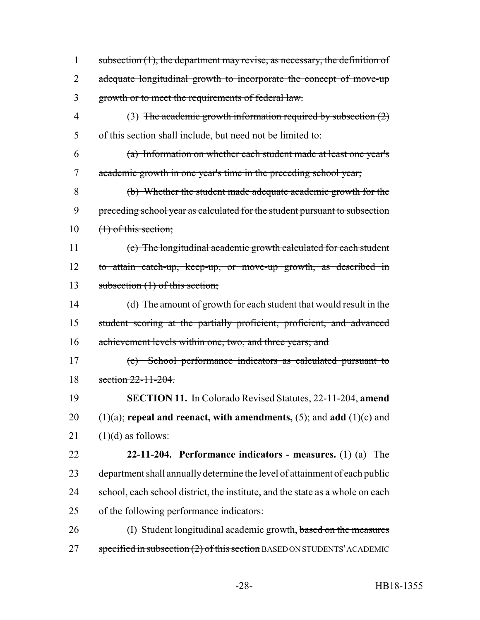1 subsection (1), the department may revise, as necessary, the definition of 2 adequate longitudinal growth to incorporate the concept of move-up growth or to meet the requirements of federal law. (3) The academic growth information required by subsection (2) of this section shall include, but need not be limited to: (a) Information on whether each student made at least one year's academic growth in one year's time in the preceding school year; (b) Whether the student made adequate academic growth for the preceding school year as calculated for the student pursuant to subsection  $10 \quad (1)$  of this section; (c) The longitudinal academic growth calculated for each student to attain catch-up, keep-up, or move-up growth, as described in 13 subsection (1) of this section; (d) The amount of growth for each student that would result in the student scoring at the partially proficient, proficient, and advanced achievement levels within one, two, and three years; and (e) School performance indicators as calculated pursuant to section 22-11-204. **SECTION 11.** In Colorado Revised Statutes, 22-11-204, **amend** (1)(a); **repeal and reenact, with amendments,** (5); and **add** (1)(c) and  $(1)(d)$  as follows: **22-11-204. Performance indicators - measures.** (1) (a) The department shall annually determine the level of attainment of each public school, each school district, the institute, and the state as a whole on each of the following performance indicators: 26 (I) Student longitudinal academic growth, based on the measures specified in subsection  $(2)$  of this section BASED ON STUDENTS' ACADEMIC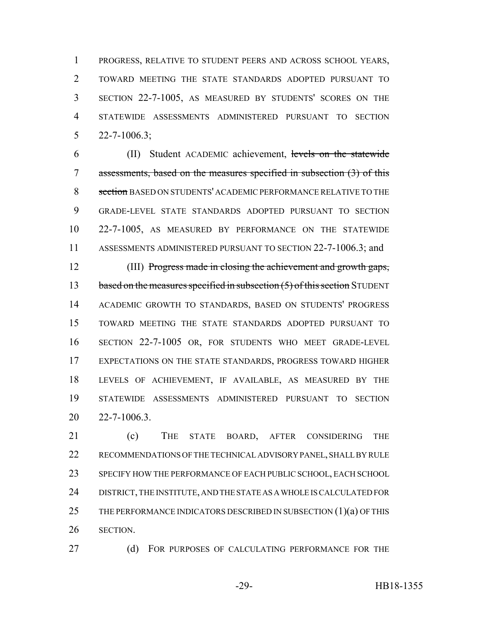PROGRESS, RELATIVE TO STUDENT PEERS AND ACROSS SCHOOL YEARS, TOWARD MEETING THE STATE STANDARDS ADOPTED PURSUANT TO SECTION 22-7-1005, AS MEASURED BY STUDENTS' SCORES ON THE STATEWIDE ASSESSMENTS ADMINISTERED PURSUANT TO SECTION 22-7-1006.3;

 (II) Student ACADEMIC achievement, levels on the statewide assessments, based on the measures specified in subsection (3) of this 8 section BASED ON STUDENTS' ACADEMIC PERFORMANCE RELATIVE TO THE GRADE-LEVEL STATE STANDARDS ADOPTED PURSUANT TO SECTION 22-7-1005, AS MEASURED BY PERFORMANCE ON THE STATEWIDE ASSESSMENTS ADMINISTERED PURSUANT TO SECTION 22-7-1006.3; and

 (III) Progress made in closing the achievement and growth gaps, 13 based on the measures specified in subsection (5) of this section STUDENT ACADEMIC GROWTH TO STANDARDS, BASED ON STUDENTS' PROGRESS TOWARD MEETING THE STATE STANDARDS ADOPTED PURSUANT TO SECTION 22-7-1005 OR, FOR STUDENTS WHO MEET GRADE-LEVEL EXPECTATIONS ON THE STATE STANDARDS, PROGRESS TOWARD HIGHER LEVELS OF ACHIEVEMENT, IF AVAILABLE, AS MEASURED BY THE STATEWIDE ASSESSMENTS ADMINISTERED PURSUANT TO SECTION 22-7-1006.3.

 (c) THE STATE BOARD, AFTER CONSIDERING THE RECOMMENDATIONS OF THE TECHNICAL ADVISORY PANEL, SHALL BY RULE SPECIFY HOW THE PERFORMANCE OF EACH PUBLIC SCHOOL, EACH SCHOOL DISTRICT, THE INSTITUTE, AND THE STATE AS A WHOLE IS CALCULATED FOR 25 THE PERFORMANCE INDICATORS DESCRIBED IN SUBSECTION  $(1)(a)$  OF THIS SECTION.

27 (d) FOR PURPOSES OF CALCULATING PERFORMANCE FOR THE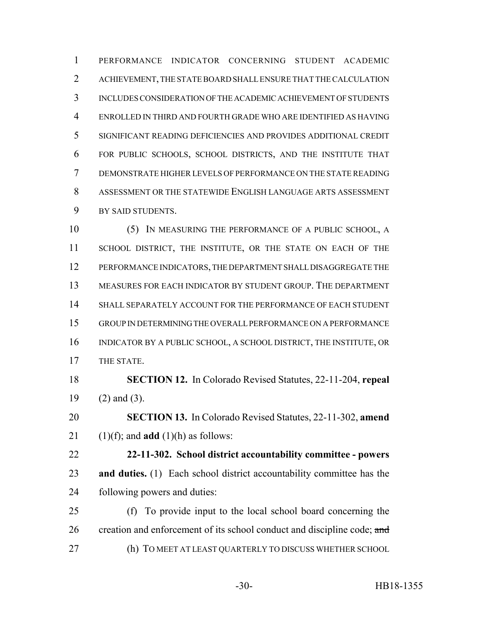PERFORMANCE INDICATOR CONCERNING STUDENT ACADEMIC ACHIEVEMENT, THE STATE BOARD SHALL ENSURE THAT THE CALCULATION INCLUDES CONSIDERATION OF THE ACADEMIC ACHIEVEMENT OF STUDENTS ENROLLED IN THIRD AND FOURTH GRADE WHO ARE IDENTIFIED AS HAVING SIGNIFICANT READING DEFICIENCIES AND PROVIDES ADDITIONAL CREDIT FOR PUBLIC SCHOOLS, SCHOOL DISTRICTS, AND THE INSTITUTE THAT DEMONSTRATE HIGHER LEVELS OF PERFORMANCE ON THE STATE READING ASSESSMENT OR THE STATEWIDE ENGLISH LANGUAGE ARTS ASSESSMENT BY SAID STUDENTS.

 (5) IN MEASURING THE PERFORMANCE OF A PUBLIC SCHOOL, A 11 SCHOOL DISTRICT, THE INSTITUTE, OR THE STATE ON EACH OF THE PERFORMANCE INDICATORS, THE DEPARTMENT SHALL DISAGGREGATE THE MEASURES FOR EACH INDICATOR BY STUDENT GROUP. THE DEPARTMENT SHALL SEPARATELY ACCOUNT FOR THE PERFORMANCE OF EACH STUDENT GROUP IN DETERMINING THE OVERALL PERFORMANCE ON A PERFORMANCE INDICATOR BY A PUBLIC SCHOOL, A SCHOOL DISTRICT, THE INSTITUTE, OR THE STATE.

 **SECTION 12.** In Colorado Revised Statutes, 22-11-204, **repeal** (2) and (3).

 **SECTION 13.** In Colorado Revised Statutes, 22-11-302, **amend** 21  $(1)(f)$ ; and **add**  $(1)(h)$  as follows:

 **22-11-302. School district accountability committee - powers and duties.** (1) Each school district accountability committee has the following powers and duties:

 (f) To provide input to the local school board concerning the 26 creation and enforcement of its school conduct and discipline code; and (h) TO MEET AT LEAST QUARTERLY TO DISCUSS WHETHER SCHOOL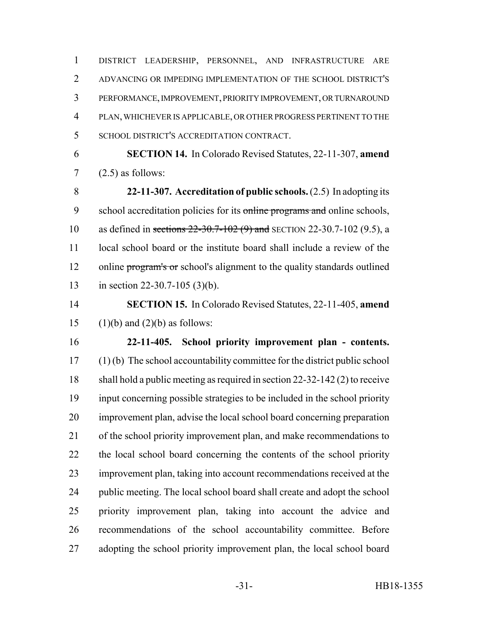DISTRICT LEADERSHIP, PERSONNEL, AND INFRASTRUCTURE ARE ADVANCING OR IMPEDING IMPLEMENTATION OF THE SCHOOL DISTRICT'S PERFORMANCE, IMPROVEMENT, PRIORITY IMPROVEMENT, OR TURNAROUND PLAN, WHICHEVER IS APPLICABLE, OR OTHER PROGRESS PERTINENT TO THE SCHOOL DISTRICT'S ACCREDITATION CONTRACT.

 **SECTION 14.** In Colorado Revised Statutes, 22-11-307, **amend**  $7 \quad (2.5)$  as follows:

 **22-11-307. Accreditation of public schools.** (2.5) In adopting its 9 school accreditation policies for its online programs and online schools, as defined in sections 22-30.7-102 (9) and SECTION 22-30.7-102 (9.5), a 11 local school board or the institute board shall include a review of the 12 online program's or school's alignment to the quality standards outlined in section 22-30.7-105 (3)(b).

 **SECTION 15.** In Colorado Revised Statutes, 22-11-405, **amend** 15 (1)(b) and (2)(b) as follows:

 **22-11-405. School priority improvement plan - contents.** (1) (b) The school accountability committee for the district public school shall hold a public meeting as required in section 22-32-142 (2) to receive input concerning possible strategies to be included in the school priority improvement plan, advise the local school board concerning preparation of the school priority improvement plan, and make recommendations to the local school board concerning the contents of the school priority improvement plan, taking into account recommendations received at the public meeting. The local school board shall create and adopt the school priority improvement plan, taking into account the advice and recommendations of the school accountability committee. Before 27 adopting the school priority improvement plan, the local school board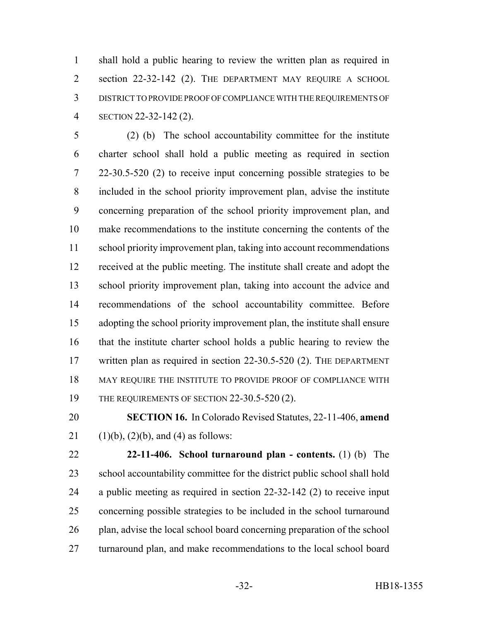shall hold a public hearing to review the written plan as required in 2 section 22-32-142 (2). THE DEPARTMENT MAY REQUIRE A SCHOOL DISTRICT TO PROVIDE PROOF OF COMPLIANCE WITH THE REQUIREMENTS OF SECTION 22-32-142 (2).

 (2) (b) The school accountability committee for the institute charter school shall hold a public meeting as required in section 22-30.5-520 (2) to receive input concerning possible strategies to be included in the school priority improvement plan, advise the institute concerning preparation of the school priority improvement plan, and make recommendations to the institute concerning the contents of the school priority improvement plan, taking into account recommendations received at the public meeting. The institute shall create and adopt the school priority improvement plan, taking into account the advice and recommendations of the school accountability committee. Before adopting the school priority improvement plan, the institute shall ensure that the institute charter school holds a public hearing to review the written plan as required in section 22-30.5-520 (2). THE DEPARTMENT MAY REQUIRE THE INSTITUTE TO PROVIDE PROOF OF COMPLIANCE WITH THE REQUIREMENTS OF SECTION 22-30.5-520 (2).

 **SECTION 16.** In Colorado Revised Statutes, 22-11-406, **amend** 21 (1)(b), (2)(b), and (4) as follows:

 **22-11-406. School turnaround plan - contents.** (1) (b) The school accountability committee for the district public school shall hold a public meeting as required in section 22-32-142 (2) to receive input concerning possible strategies to be included in the school turnaround 26 plan, advise the local school board concerning preparation of the school turnaround plan, and make recommendations to the local school board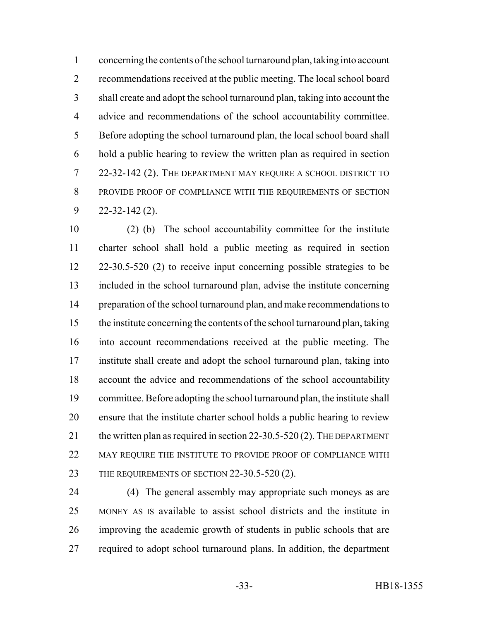concerning the contents of the school turnaround plan, taking into account recommendations received at the public meeting. The local school board shall create and adopt the school turnaround plan, taking into account the advice and recommendations of the school accountability committee. Before adopting the school turnaround plan, the local school board shall hold a public hearing to review the written plan as required in section 22-32-142 (2). THE DEPARTMENT MAY REQUIRE A SCHOOL DISTRICT TO PROVIDE PROOF OF COMPLIANCE WITH THE REQUIREMENTS OF SECTION 22-32-142 (2).

 (2) (b) The school accountability committee for the institute charter school shall hold a public meeting as required in section 22-30.5-520 (2) to receive input concerning possible strategies to be included in the school turnaround plan, advise the institute concerning 14 preparation of the school turnaround plan, and make recommendations to the institute concerning the contents of the school turnaround plan, taking into account recommendations received at the public meeting. The institute shall create and adopt the school turnaround plan, taking into account the advice and recommendations of the school accountability committee. Before adopting the school turnaround plan, the institute shall ensure that the institute charter school holds a public hearing to review 21 the written plan as required in section 22-30.5-520 (2). THE DEPARTMENT MAY REQUIRE THE INSTITUTE TO PROVIDE PROOF OF COMPLIANCE WITH 23 THE REQUIREMENTS OF SECTION 22-30.5-520 (2).

24 (4) The general assembly may appropriate such moneys as are MONEY AS IS available to assist school districts and the institute in improving the academic growth of students in public schools that are required to adopt school turnaround plans. In addition, the department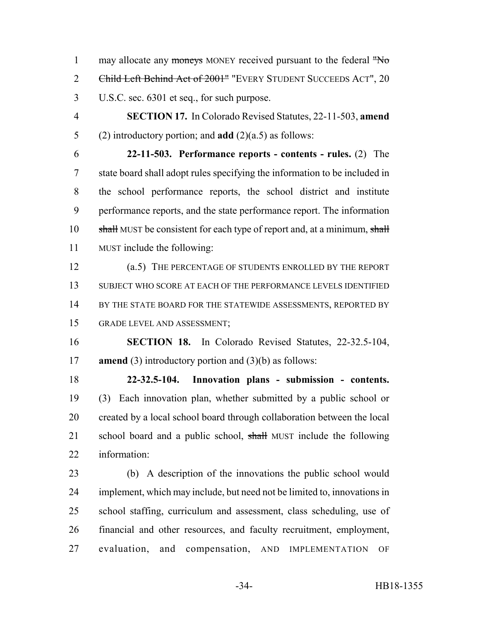1 may allocate any moneys MONEY received pursuant to the federal "No 2 Child Left Behind Act of 2001" "EVERY STUDENT SUCCEEDS ACT", 20 U.S.C. sec. 6301 et seq., for such purpose.

 **SECTION 17.** In Colorado Revised Statutes, 22-11-503, **amend** (2) introductory portion; and **add** (2)(a.5) as follows:

 **22-11-503. Performance reports - contents - rules.** (2) The state board shall adopt rules specifying the information to be included in the school performance reports, the school district and institute performance reports, and the state performance report. The information 10 shall MUST be consistent for each type of report and, at a minimum, shall MUST include the following:

 (a.5) THE PERCENTAGE OF STUDENTS ENROLLED BY THE REPORT SUBJECT WHO SCORE AT EACH OF THE PERFORMANCE LEVELS IDENTIFIED 14 BY THE STATE BOARD FOR THE STATEWIDE ASSESSMENTS, REPORTED BY GRADE LEVEL AND ASSESSMENT;

 **SECTION 18.** In Colorado Revised Statutes, 22-32.5-104, **amend** (3) introductory portion and (3)(b) as follows:

 **22-32.5-104. Innovation plans - submission - contents.** (3) Each innovation plan, whether submitted by a public school or created by a local school board through collaboration between the local 21 school board and a public school, shall MUST include the following information:

 (b) A description of the innovations the public school would implement, which may include, but need not be limited to, innovations in school staffing, curriculum and assessment, class scheduling, use of financial and other resources, and faculty recruitment, employment, evaluation, and compensation, AND IMPLEMENTATION OF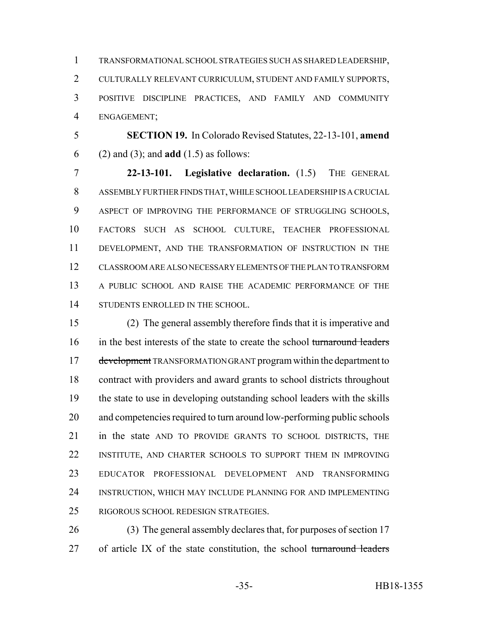TRANSFORMATIONAL SCHOOL STRATEGIES SUCH AS SHARED LEADERSHIP, CULTURALLY RELEVANT CURRICULUM, STUDENT AND FAMILY SUPPORTS, POSITIVE DISCIPLINE PRACTICES, AND FAMILY AND COMMUNITY ENGAGEMENT;

 **SECTION 19.** In Colorado Revised Statutes, 22-13-101, **amend** (2) and (3); and **add** (1.5) as follows:

 **22-13-101. Legislative declaration.** (1.5) THE GENERAL ASSEMBLY FURTHER FINDS THAT, WHILE SCHOOL LEADERSHIP IS A CRUCIAL ASPECT OF IMPROVING THE PERFORMANCE OF STRUGGLING SCHOOLS, FACTORS SUCH AS SCHOOL CULTURE, TEACHER PROFESSIONAL DEVELOPMENT, AND THE TRANSFORMATION OF INSTRUCTION IN THE CLASSROOM ARE ALSO NECESSARY ELEMENTS OF THE PLAN TO TRANSFORM A PUBLIC SCHOOL AND RAISE THE ACADEMIC PERFORMANCE OF THE 14 STUDENTS ENROLLED IN THE SCHOOL.

 (2) The general assembly therefore finds that it is imperative and 16 in the best interests of the state to create the school turnaround leaders 17 development TRANSFORMATION GRANT program within the department to contract with providers and award grants to school districts throughout the state to use in developing outstanding school leaders with the skills and competencies required to turn around low-performing public schools in the state AND TO PROVIDE GRANTS TO SCHOOL DISTRICTS, THE INSTITUTE, AND CHARTER SCHOOLS TO SUPPORT THEM IN IMPROVING EDUCATOR PROFESSIONAL DEVELOPMENT AND TRANSFORMING INSTRUCTION, WHICH MAY INCLUDE PLANNING FOR AND IMPLEMENTING RIGOROUS SCHOOL REDESIGN STRATEGIES.

 (3) The general assembly declares that, for purposes of section 17 27 of article IX of the state constitution, the school turnaround leaders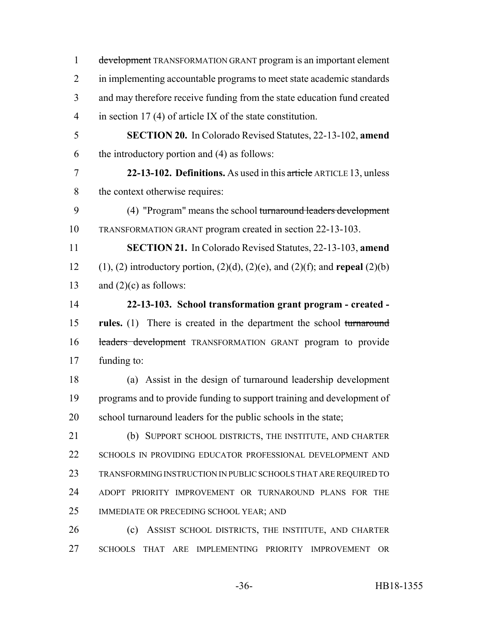development TRANSFORMATION GRANT program is an important element in implementing accountable programs to meet state academic standards and may therefore receive funding from the state education fund created in section 17 (4) of article IX of the state constitution. **SECTION 20.** In Colorado Revised Statutes, 22-13-102, **amend** the introductory portion and (4) as follows: **22-13-102. Definitions.** As used in this article ARTICLE 13, unless the context otherwise requires: (4) "Program" means the school turnaround leaders development TRANSFORMATION GRANT program created in section 22-13-103. **SECTION 21.** In Colorado Revised Statutes, 22-13-103, **amend** (1), (2) introductory portion, (2)(d), (2)(e), and (2)(f); and **repeal** (2)(b) 13 and  $(2)(c)$  as follows: **22-13-103. School transformation grant program - created - rules.** (1) There is created in the department the school turnaround 16 leaders development TRANSFORMATION GRANT program to provide funding to: (a) Assist in the design of turnaround leadership development programs and to provide funding to support training and development of school turnaround leaders for the public schools in the state; (b) SUPPORT SCHOOL DISTRICTS, THE INSTITUTE, AND CHARTER SCHOOLS IN PROVIDING EDUCATOR PROFESSIONAL DEVELOPMENT AND TRANSFORMING INSTRUCTION IN PUBLIC SCHOOLS THAT ARE REQUIRED TO ADOPT PRIORITY IMPROVEMENT OR TURNAROUND PLANS FOR THE IMMEDIATE OR PRECEDING SCHOOL YEAR; AND (c) ASSIST SCHOOL DISTRICTS, THE INSTITUTE, AND CHARTER SCHOOLS THAT ARE IMPLEMENTING PRIORITY IMPROVEMENT OR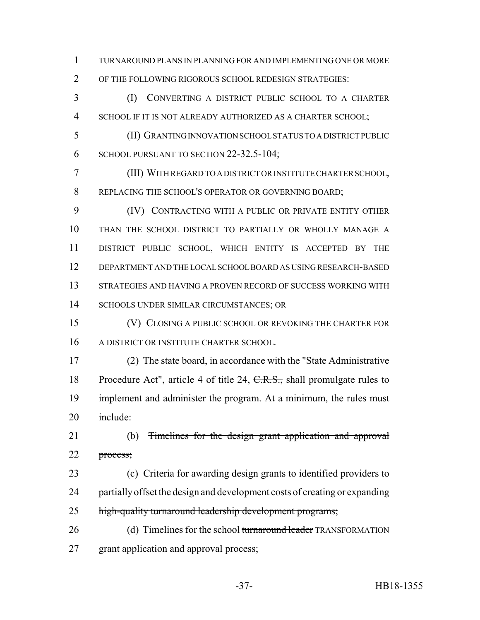TURNAROUND PLANS IN PLANNING FOR AND IMPLEMENTING ONE OR MORE OF THE FOLLOWING RIGOROUS SCHOOL REDESIGN STRATEGIES:

 (I) CONVERTING A DISTRICT PUBLIC SCHOOL TO A CHARTER SCHOOL IF IT IS NOT ALREADY AUTHORIZED AS A CHARTER SCHOOL;

 (II) GRANTING INNOVATION SCHOOL STATUS TO A DISTRICT PUBLIC 6 SCHOOL PURSUANT TO SECTION 22-32.5-104;

 (III) WITH REGARD TO A DISTRICT OR INSTITUTE CHARTER SCHOOL, REPLACING THE SCHOOL'S OPERATOR OR GOVERNING BOARD;

 (IV) CONTRACTING WITH A PUBLIC OR PRIVATE ENTITY OTHER THAN THE SCHOOL DISTRICT TO PARTIALLY OR WHOLLY MANAGE A DISTRICT PUBLIC SCHOOL, WHICH ENTITY IS ACCEPTED BY THE DEPARTMENT AND THE LOCAL SCHOOL BOARD AS USING RESEARCH-BASED STRATEGIES AND HAVING A PROVEN RECORD OF SUCCESS WORKING WITH SCHOOLS UNDER SIMILAR CIRCUMSTANCES; OR

 (V) CLOSING A PUBLIC SCHOOL OR REVOKING THE CHARTER FOR A DISTRICT OR INSTITUTE CHARTER SCHOOL.

 (2) The state board, in accordance with the "State Administrative 18 Procedure Act", article 4 of title 24, C.R.S., shall promulgate rules to implement and administer the program. At a minimum, the rules must include:

 (b) Timelines for the design grant application and approval 22 process;

 (c) Criteria for awarding design grants to identified providers to 24 partially offset the design and development costs of creating or expanding 25 high-quality turnaround leadership development programs;

26 (d) Timelines for the school turnaround leader TRANSFORMATION grant application and approval process;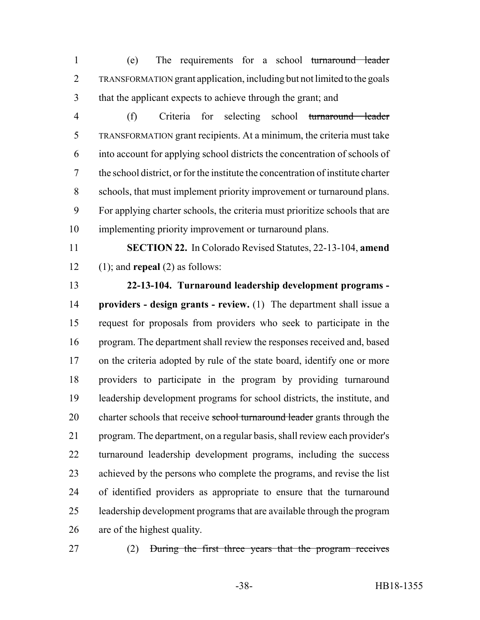(e) The requirements for a school turnaround leader TRANSFORMATION grant application, including but not limited to the goals that the applicant expects to achieve through the grant; and

- (f) Criteria for selecting school turnaround leader TRANSFORMATION grant recipients. At a minimum, the criteria must take into account for applying school districts the concentration of schools of the school district, or for the institute the concentration of institute charter schools, that must implement priority improvement or turnaround plans. For applying charter schools, the criteria must prioritize schools that are implementing priority improvement or turnaround plans.
- **SECTION 22.** In Colorado Revised Statutes, 22-13-104, **amend** (1); and **repeal** (2) as follows:

# **22-13-104. Turnaround leadership development programs -**

 **providers - design grants - review.** (1) The department shall issue a request for proposals from providers who seek to participate in the program. The department shall review the responses received and, based 17 on the criteria adopted by rule of the state board, identify one or more providers to participate in the program by providing turnaround leadership development programs for school districts, the institute, and 20 charter schools that receive school turnaround leader grants through the program. The department, on a regular basis, shall review each provider's turnaround leadership development programs, including the success achieved by the persons who complete the programs, and revise the list of identified providers as appropriate to ensure that the turnaround leadership development programs that are available through the program are of the highest quality.

- 
- (2) During the first three years that the program receives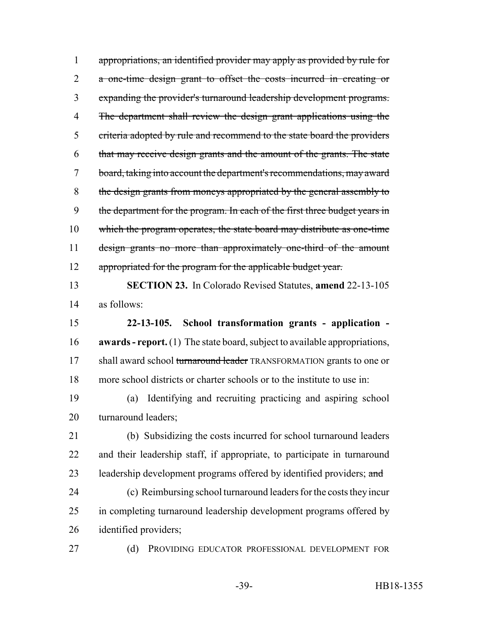appropriations, an identified provider may apply as provided by rule for 2 a one-time design grant to offset the costs incurred in creating or expanding the provider's turnaround leadership development programs. The department shall review the design grant applications using the criteria adopted by rule and recommend to the state board the providers that may receive design grants and the amount of the grants. The state board, taking into account the department's recommendations, may award the design grants from moneys appropriated by the general assembly to 9 the department for the program. In each of the first three budget years in which the program operates, the state board may distribute as one-time design grants no more than approximately one-third of the amount 12 appropriated for the program for the applicable budget year.

 **SECTION 23.** In Colorado Revised Statutes, **amend** 22-13-105 as follows:

 **22-13-105. School transformation grants - application - awards - report.** (1) The state board, subject to available appropriations, 17 shall award school turnaround leader TRANSFORMATION grants to one or more school districts or charter schools or to the institute to use in:

 (a) Identifying and recruiting practicing and aspiring school turnaround leaders;

 (b) Subsidizing the costs incurred for school turnaround leaders and their leadership staff, if appropriate, to participate in turnaround 23 leadership development programs offered by identified providers; and

 (c) Reimbursing school turnaround leaders for the costs they incur in completing turnaround leadership development programs offered by identified providers;

27 (d) PROVIDING EDUCATOR PROFESSIONAL DEVELOPMENT FOR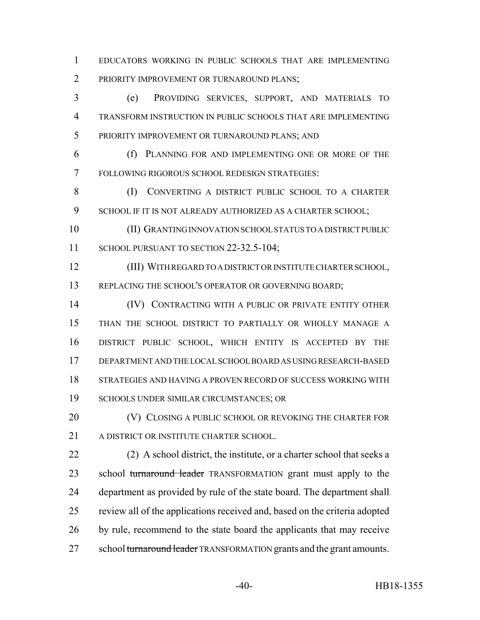EDUCATORS WORKING IN PUBLIC SCHOOLS THAT ARE IMPLEMENTING 2 PRIORITY IMPROVEMENT OR TURNAROUND PLANS;

 (e) PROVIDING SERVICES, SUPPORT, AND MATERIALS TO TRANSFORM INSTRUCTION IN PUBLIC SCHOOLS THAT ARE IMPLEMENTING PRIORITY IMPROVEMENT OR TURNAROUND PLANS; AND

 (f) PLANNING FOR AND IMPLEMENTING ONE OR MORE OF THE FOLLOWING RIGOROUS SCHOOL REDESIGN STRATEGIES:

 (I) CONVERTING A DISTRICT PUBLIC SCHOOL TO A CHARTER 9 SCHOOL IF IT IS NOT ALREADY AUTHORIZED AS A CHARTER SCHOOL;

 (II) GRANTING INNOVATION SCHOOL STATUS TO A DISTRICT PUBLIC 11 SCHOOL PURSUANT TO SECTION 22-32.5-104;

 (III) WITH REGARD TO A DISTRICT OR INSTITUTE CHARTER SCHOOL, 13 REPLACING THE SCHOOL'S OPERATOR OR GOVERNING BOARD;

 (IV) CONTRACTING WITH A PUBLIC OR PRIVATE ENTITY OTHER THAN THE SCHOOL DISTRICT TO PARTIALLY OR WHOLLY MANAGE A DISTRICT PUBLIC SCHOOL, WHICH ENTITY IS ACCEPTED BY THE DEPARTMENT AND THE LOCAL SCHOOL BOARD AS USING RESEARCH-BASED STRATEGIES AND HAVING A PROVEN RECORD OF SUCCESS WORKING WITH SCHOOLS UNDER SIMILAR CIRCUMSTANCES; OR

**(V) CLOSING A PUBLIC SCHOOL OR REVOKING THE CHARTER FOR** A DISTRICT OR INSTITUTE CHARTER SCHOOL.

 (2) A school district, the institute, or a charter school that seeks a 23 school turnaround leader TRANSFORMATION grant must apply to the department as provided by rule of the state board. The department shall review all of the applications received and, based on the criteria adopted by rule, recommend to the state board the applicants that may receive 27 school turnaround leader TRANSFORMATION grants and the grant amounts.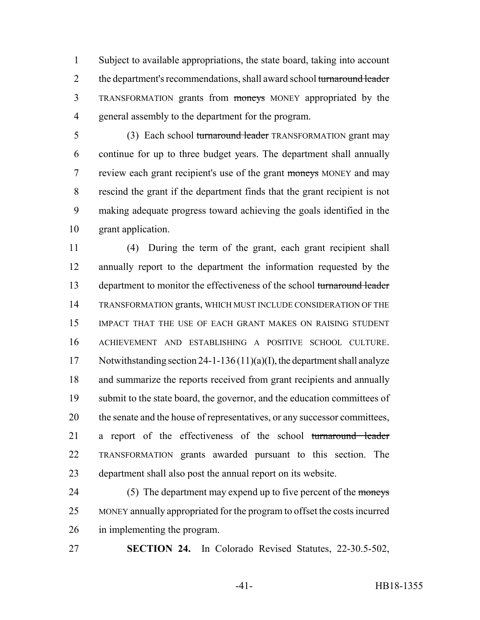Subject to available appropriations, the state board, taking into account 2 the department's recommendations, shall award school turnaround leader TRANSFORMATION grants from moneys MONEY appropriated by the general assembly to the department for the program.

5 (3) Each school turnaround leader TRANSFORMATION grant may continue for up to three budget years. The department shall annually review each grant recipient's use of the grant moneys MONEY and may rescind the grant if the department finds that the grant recipient is not making adequate progress toward achieving the goals identified in the grant application.

 (4) During the term of the grant, each grant recipient shall annually report to the department the information requested by the 13 department to monitor the effectiveness of the school turnaround leader TRANSFORMATION grants, WHICH MUST INCLUDE CONSIDERATION OF THE IMPACT THAT THE USE OF EACH GRANT MAKES ON RAISING STUDENT ACHIEVEMENT AND ESTABLISHING A POSITIVE SCHOOL CULTURE. Notwithstanding section 24-1-136 (11)(a)(I), the department shall analyze and summarize the reports received from grant recipients and annually submit to the state board, the governor, and the education committees of the senate and the house of representatives, or any successor committees, a report of the effectiveness of the school turnaround leader TRANSFORMATION grants awarded pursuant to this section. The department shall also post the annual report on its website.

24 (5) The department may expend up to five percent of the moneys MONEY annually appropriated for the program to offset the costs incurred in implementing the program.

**SECTION 24.** In Colorado Revised Statutes, 22-30.5-502,